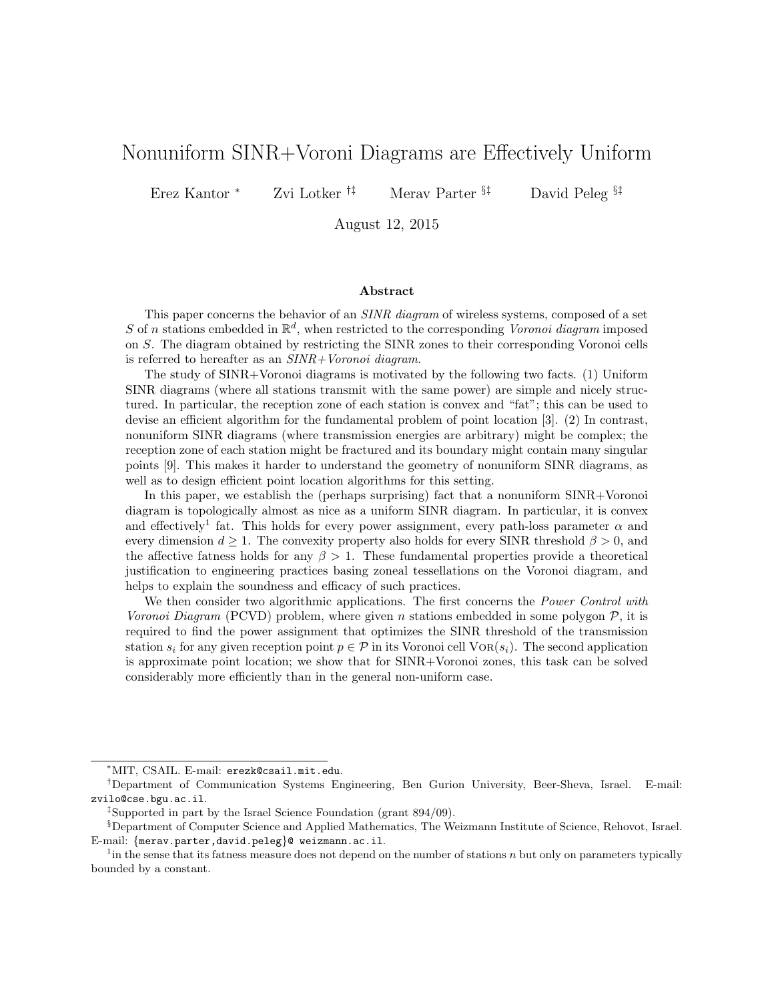# Nonuniform SINR+Voroni Diagrams are Effectively Uniform

Erez Kantor <sup>∗</sup> Zvi Lotker †‡ Merav Parter §‡ David Peleg §‡

August 12, 2015

#### Abstract

This paper concerns the behavior of an *SINR diagram* of wireless systems, composed of a set S of n stations embedded in  $\mathbb{R}^d$ , when restricted to the corresponding Voronoi diagram imposed on S. The diagram obtained by restricting the SINR zones to their corresponding Voronoi cells is referred to hereafter as an SINR+Voronoi diagram.

The study of SINR+Voronoi diagrams is motivated by the following two facts. (1) Uniform SINR diagrams (where all stations transmit with the same power) are simple and nicely structured. In particular, the reception zone of each station is convex and "fat"; this can be used to devise an efficient algorithm for the fundamental problem of point location [3]. (2) In contrast, nonuniform SINR diagrams (where transmission energies are arbitrary) might be complex; the reception zone of each station might be fractured and its boundary might contain many singular points [9]. This makes it harder to understand the geometry of nonuniform SINR diagrams, as well as to design efficient point location algorithms for this setting.

In this paper, we establish the (perhaps surprising) fact that a nonuniform SINR+Voronoi diagram is topologically almost as nice as a uniform SINR diagram. In particular, it is convex and effectively<sup>1</sup> fat. This holds for every power assignment, every path-loss parameter  $\alpha$  and every dimension  $d \geq 1$ . The convexity property also holds for every SINR threshold  $\beta > 0$ , and the affective fatness holds for any  $\beta > 1$ . These fundamental properties provide a theoretical justification to engineering practices basing zoneal tessellations on the Voronoi diagram, and helps to explain the soundness and efficacy of such practices.

We then consider two algorithmic applications. The first concerns the *Power Control with* Voronoi Diagram (PCVD) problem, where given n stations embedded in some polygon  $P$ , it is required to find the power assignment that optimizes the SINR threshold of the transmission station  $s_i$  for any given reception point  $p \in \mathcal{P}$  in its Voronoi cell VOR( $s_i$ ). The second application is approximate point location; we show that for SINR+Voronoi zones, this task can be solved considerably more efficiently than in the general non-uniform case.

<sup>∗</sup>MIT, CSAIL. E-mail: erezk@csail.mit.edu.

<sup>†</sup>Department of Communication Systems Engineering, Ben Gurion University, Beer-Sheva, Israel. E-mail: zvilo@cse.bgu.ac.il.

<sup>‡</sup>Supported in part by the Israel Science Foundation (grant 894/09).

<sup>§</sup>Department of Computer Science and Applied Mathematics, The Weizmann Institute of Science, Rehovot, Israel. E-mail: {merav.parter,david.peleg}@ weizmann.ac.il.

<sup>&</sup>lt;sup>1</sup> in the sense that its fatness measure does not depend on the number of stations n but only on parameters typically bounded by a constant.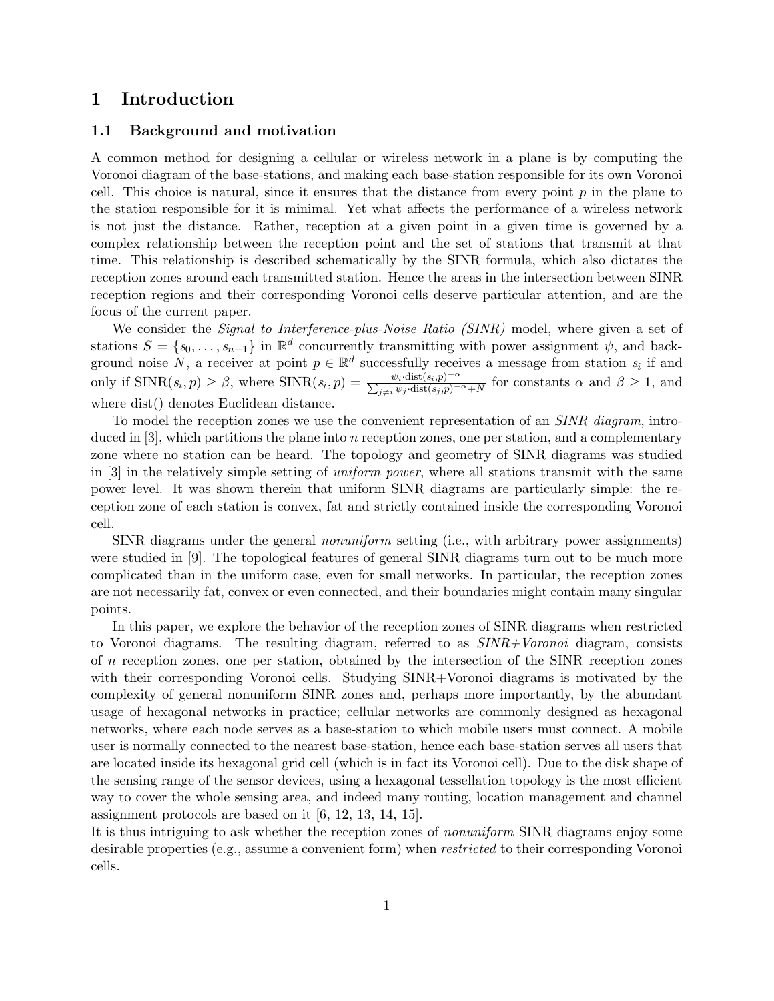## 1 Introduction

### 1.1 Background and motivation

A common method for designing a cellular or wireless network in a plane is by computing the Voronoi diagram of the base-stations, and making each base-station responsible for its own Voronoi cell. This choice is natural, since it ensures that the distance from every point  $p$  in the plane to the station responsible for it is minimal. Yet what affects the performance of a wireless network is not just the distance. Rather, reception at a given point in a given time is governed by a complex relationship between the reception point and the set of stations that transmit at that time. This relationship is described schematically by the SINR formula, which also dictates the reception zones around each transmitted station. Hence the areas in the intersection between SINR reception regions and their corresponding Voronoi cells deserve particular attention, and are the focus of the current paper.

We consider the *Signal to Interference-plus-Noise Ratio (SINR)* model, where given a set of stations  $S = \{s_0, \ldots, s_{n-1}\}\$  in  $\mathbb{R}^d$  concurrently transmitting with power assignment  $\psi$ , and background noise N, a receiver at point  $p \in \mathbb{R}^d$  successfully receives a message from station  $s_i$  if and only if  $\text{SINR}(s_i, p) \geq \beta$ , where  $\text{SINR}(s_i, p) = \frac{\psi_i \cdot \text{dist}(s_i, p)^{-\alpha}}{\sum_{j \neq i} \psi_j \cdot \text{dist}(s_j, p)^{-\alpha} + N}$  for constants  $\alpha$  and  $\beta \geq 1$ , and where dist() denotes Euclidean distance.

To model the reception zones we use the convenient representation of an *SINR* diagram, introduced in  $[3]$ , which partitions the plane into n reception zones, one per station, and a complementary zone where no station can be heard. The topology and geometry of SINR diagrams was studied in [3] in the relatively simple setting of uniform power, where all stations transmit with the same power level. It was shown therein that uniform SINR diagrams are particularly simple: the reception zone of each station is convex, fat and strictly contained inside the corresponding Voronoi cell.

SINR diagrams under the general nonuniform setting (i.e., with arbitrary power assignments) were studied in [9]. The topological features of general SINR diagrams turn out to be much more complicated than in the uniform case, even for small networks. In particular, the reception zones are not necessarily fat, convex or even connected, and their boundaries might contain many singular points.

In this paper, we explore the behavior of the reception zones of SINR diagrams when restricted to Voronoi diagrams. The resulting diagram, referred to as  $SINR+Voronoi$  diagram, consists of n reception zones, one per station, obtained by the intersection of the SINR reception zones with their corresponding Voronoi cells. Studying SINR+Voronoi diagrams is motivated by the complexity of general nonuniform SINR zones and, perhaps more importantly, by the abundant usage of hexagonal networks in practice; cellular networks are commonly designed as hexagonal networks, where each node serves as a base-station to which mobile users must connect. A mobile user is normally connected to the nearest base-station, hence each base-station serves all users that are located inside its hexagonal grid cell (which is in fact its Voronoi cell). Due to the disk shape of the sensing range of the sensor devices, using a hexagonal tessellation topology is the most efficient way to cover the whole sensing area, and indeed many routing, location management and channel assignment protocols are based on it [6, 12, 13, 14, 15].

It is thus intriguing to ask whether the reception zones of nonuniform SINR diagrams enjoy some desirable properties (e.g., assume a convenient form) when restricted to their corresponding Voronoi cells.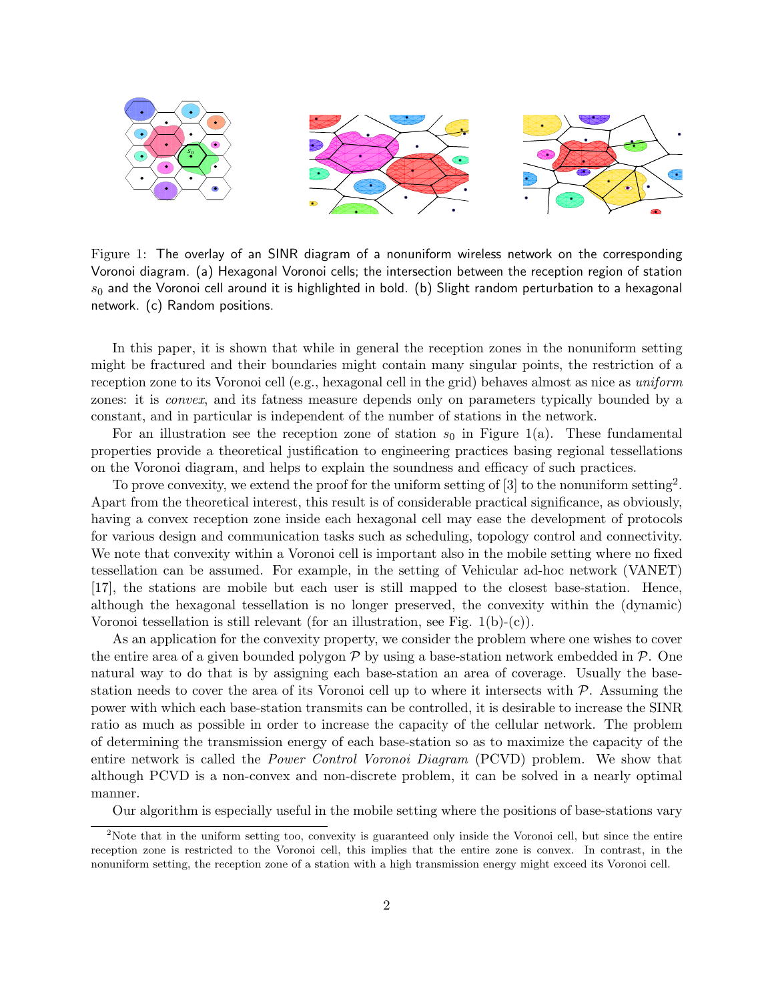

Figure 1: The overlay of an SINR diagram of a nonuniform wireless network on the corresponding Voronoi diagram. (a) Hexagonal Voronoi cells; the intersection between the reception region of station  $s_0$  and the Voronoi cell around it is highlighted in bold. (b) Slight random perturbation to a hexagonal network. (c) Random positions.

In this paper, it is shown that while in general the reception zones in the nonuniform setting might be fractured and their boundaries might contain many singular points, the restriction of a reception zone to its Voronoi cell (e.g., hexagonal cell in the grid) behaves almost as nice as uniform zones: it is convex, and its fatness measure depends only on parameters typically bounded by a constant, and in particular is independent of the number of stations in the network.

For an illustration see the reception zone of station  $s_0$  in Figure 1(a). These fundamental properties provide a theoretical justification to engineering practices basing regional tessellations on the Voronoi diagram, and helps to explain the soundness and efficacy of such practices.

To prove convexity, we extend the proof for the uniform setting of  $[3]$  to the nonuniform setting<sup>2</sup>. Apart from the theoretical interest, this result is of considerable practical significance, as obviously, having a convex reception zone inside each hexagonal cell may ease the development of protocols for various design and communication tasks such as scheduling, topology control and connectivity. We note that convexity within a Voronoi cell is important also in the mobile setting where no fixed tessellation can be assumed. For example, in the setting of Vehicular ad-hoc network (VANET) [17], the stations are mobile but each user is still mapped to the closest base-station. Hence, although the hexagonal tessellation is no longer preserved, the convexity within the (dynamic) Voronoi tessellation is still relevant (for an illustration, see Fig.  $1(b)-(c)$ ).

As an application for the convexity property, we consider the problem where one wishes to cover the entire area of a given bounded polygon  $\mathcal P$  by using a base-station network embedded in  $\mathcal P$ . One natural way to do that is by assigning each base-station an area of coverage. Usually the basestation needs to cover the area of its Voronoi cell up to where it intersects with  $P$ . Assuming the power with which each base-station transmits can be controlled, it is desirable to increase the SINR ratio as much as possible in order to increase the capacity of the cellular network. The problem of determining the transmission energy of each base-station so as to maximize the capacity of the entire network is called the Power Control Voronoi Diagram (PCVD) problem. We show that although PCVD is a non-convex and non-discrete problem, it can be solved in a nearly optimal manner.

Our algorithm is especially useful in the mobile setting where the positions of base-stations vary

<sup>&</sup>lt;sup>2</sup>Note that in the uniform setting too, convexity is guaranteed only inside the Voronoi cell, but since the entire reception zone is restricted to the Voronoi cell, this implies that the entire zone is convex. In contrast, in the nonuniform setting, the reception zone of a station with a high transmission energy might exceed its Voronoi cell.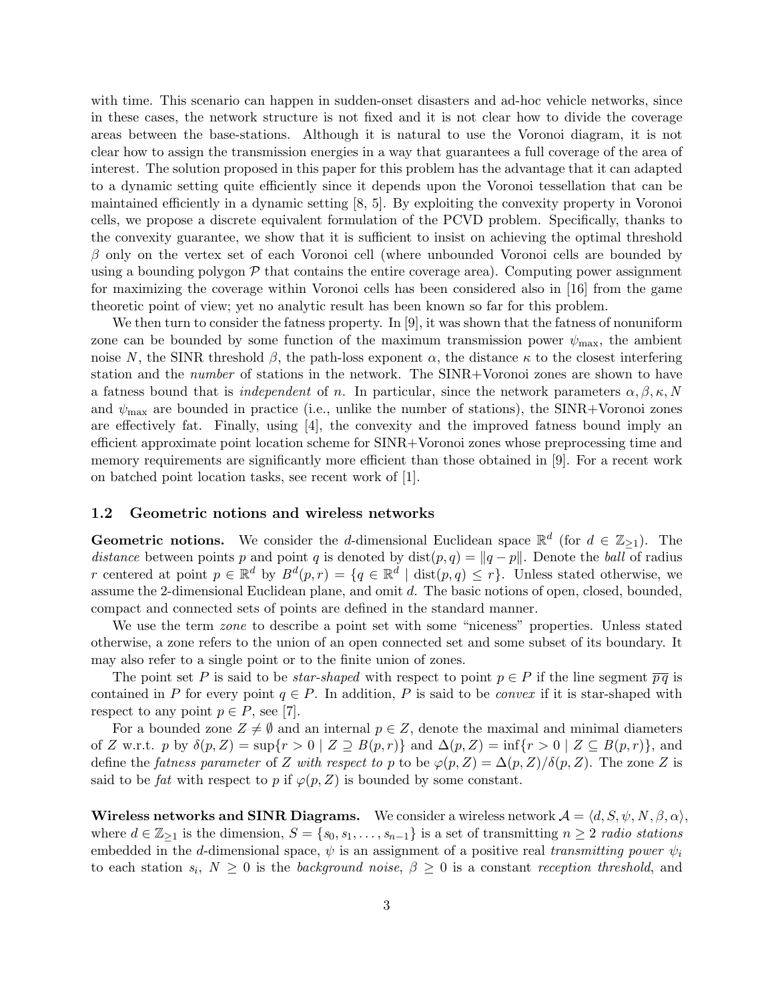with time. This scenario can happen in sudden-onset disasters and ad-hoc vehicle networks, since in these cases, the network structure is not fixed and it is not clear how to divide the coverage areas between the base-stations. Although it is natural to use the Voronoi diagram, it is not clear how to assign the transmission energies in a way that guarantees a full coverage of the area of interest. The solution proposed in this paper for this problem has the advantage that it can adapted to a dynamic setting quite efficiently since it depends upon the Voronoi tessellation that can be maintained efficiently in a dynamic setting [8, 5]. By exploiting the convexity property in Voronoi cells, we propose a discrete equivalent formulation of the PCVD problem. Specifically, thanks to the convexity guarantee, we show that it is sufficient to insist on achieving the optimal threshold  $\beta$  only on the vertex set of each Voronoi cell (where unbounded Voronoi cells are bounded by using a bounding polygon  $P$  that contains the entire coverage area). Computing power assignment for maximizing the coverage within Voronoi cells has been considered also in [16] from the game theoretic point of view; yet no analytic result has been known so far for this problem.

We then turn to consider the fatness property. In [9], it was shown that the fatness of nonuniform zone can be bounded by some function of the maximum transmission power  $\psi_{\text{max}}$ , the ambient noise N, the SINR threshold  $\beta$ , the path-loss exponent  $\alpha$ , the distance  $\kappa$  to the closest interfering station and the number of stations in the network. The SINR+Voronoi zones are shown to have a fatness bound that is *independent* of n. In particular, since the network parameters  $\alpha, \beta, \kappa, N$ and  $\psi_{\text{max}}$  are bounded in practice (i.e., unlike the number of stations), the SINR+Voronoi zones are effectively fat. Finally, using  $[4]$ , the convexity and the improved fatness bound imply an efficient approximate point location scheme for SINR+Voronoi zones whose preprocessing time and memory requirements are significantly more efficient than those obtained in [9]. For a recent work on batched point location tasks, see recent work of [1].

### 1.2 Geometric notions and wireless networks

**Geometric notions.** We consider the d-dimensional Euclidean space  $\mathbb{R}^d$  (for  $d \in \mathbb{Z}_{\geq 1}$ ). The distance between points p and point q is denoted by  $dist(p, q) = ||q - p||$ . Denote the ball of radius r centered at point  $p \in \mathbb{R}^d$  by  $B^d(p,r) = \{q \in \mathbb{R}^d \mid \text{dist}(p,q) \leq r\}$ . Unless stated otherwise, we assume the 2-dimensional Euclidean plane, and omit d. The basic notions of open, closed, bounded, compact and connected sets of points are defined in the standard manner.

We use the term *zone* to describe a point set with some "niceness" properties. Unless stated otherwise, a zone refers to the union of an open connected set and some subset of its boundary. It may also refer to a single point or to the finite union of zones.

The point set P is said to be *star-shaped* with respect to point  $p \in P$  if the line segment  $\overline{pq}$  is contained in P for every point  $q \in P$ . In addition, P is said to be *convex* if it is star-shaped with respect to any point  $p \in P$ , see [7].

For a bounded zone  $Z \neq \emptyset$  and an internal  $p \in Z$ , denote the maximal and minimal diameters of Z w.r.t. p by  $\delta(p, Z) = \sup\{r > 0 \mid Z \supseteq B(p, r)\}\$  and  $\Delta(p, Z) = \inf\{r > 0 \mid Z \subseteq B(p, r)\}\$ , and define the fatness parameter of Z with respect to p to be  $\varphi(p, Z) = \Delta(p, Z)/\delta(p, Z)$ . The zone Z is said to be fat with respect to p if  $\varphi(p, Z)$  is bounded by some constant.

**Wireless networks and SINR Diagrams.** We consider a wireless network  $\mathcal{A} = \langle d, S, \psi, N, \beta, \alpha \rangle$ , where  $d \in \mathbb{Z}_{\geq 1}$  is the dimension,  $S = \{s_0, s_1, \ldots, s_{n-1}\}\$ is a set of transmitting  $n \geq 2$  radio stations embedded in the d-dimensional space,  $\psi$  is an assignment of a positive real transmitting power  $\psi_i$ to each station  $s_i, N \geq 0$  is the background noise,  $\beta \geq 0$  is a constant reception threshold, and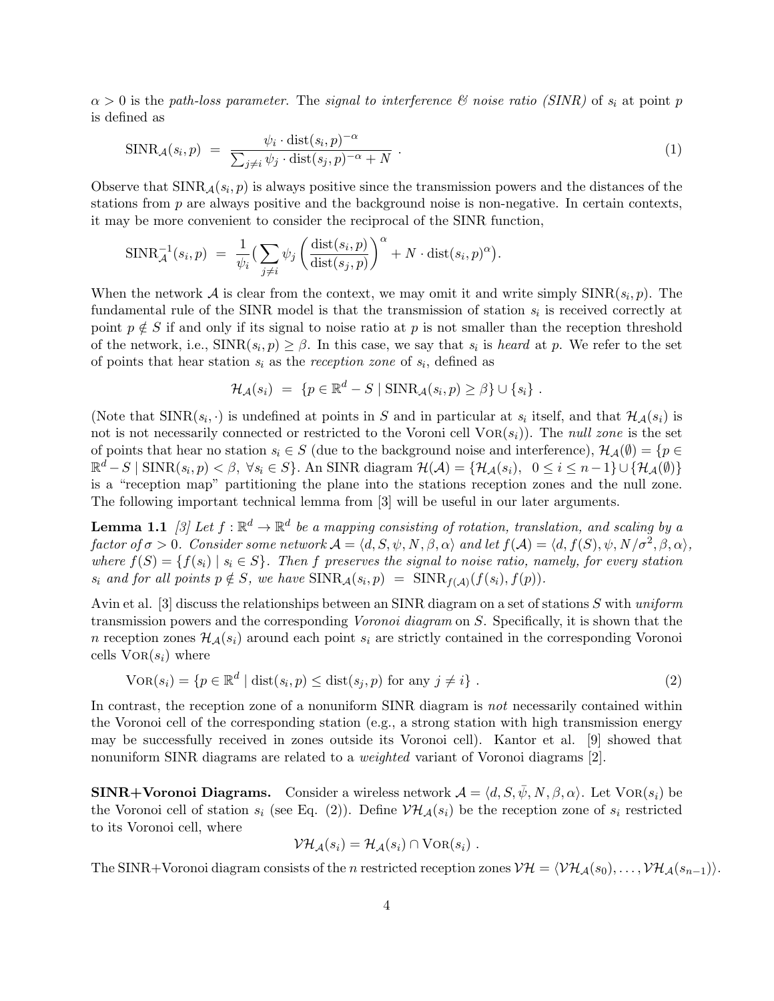$\alpha > 0$  is the path-loss parameter. The signal to interference  $\mathcal C$  noise ratio (SINR) of  $s_i$  at point p is defined as

$$
SINR_{\mathcal{A}}(s_i, p) = \frac{\psi_i \cdot \text{dist}(s_i, p)^{-\alpha}}{\sum_{j \neq i} \psi_j \cdot \text{dist}(s_j, p)^{-\alpha} + N} \,. \tag{1}
$$

Observe that  $SINR_{\mathcal{A}}(s_i, p)$  is always positive since the transmission powers and the distances of the stations from  $p$  are always positive and the background noise is non-negative. In certain contexts, it may be more convenient to consider the reciprocal of the SINR function,

$$
\text{SINR}_{\mathcal{A}}^{-1}(s_i, p) = \frac{1}{\psi_i} \left( \sum_{j \neq i} \psi_j \left( \frac{\text{dist}(s_i, p)}{\text{dist}(s_j, p)} \right)^{\alpha} + N \cdot \text{dist}(s_i, p)^{\alpha} \right).
$$

When the network A is clear from the context, we may omit it and write simply  $\text{SINR}(s_i, p)$ . The fundamental rule of the SINR model is that the transmission of station  $s_i$  is received correctly at point  $p \notin S$  if and only if its signal to noise ratio at p is not smaller than the reception threshold of the network, i.e.,  $\text{SINR}(s_i, p) \geq \beta$ . In this case, we say that  $s_i$  is *heard* at p. We refer to the set of points that hear station  $s_i$  as the reception zone of  $s_i$ , defined as

$$
\mathcal{H}_{\mathcal{A}}(s_i) = \{p \in \mathbb{R}^d - S \mid \text{SINR}_{\mathcal{A}}(s_i, p) \geq \beta\} \cup \{s_i\}.
$$

(Note that  $\text{SINR}(s_i, \cdot)$  is undefined at points in S and in particular at  $s_i$  itself, and that  $\mathcal{H}_{\mathcal{A}}(s_i)$  is not is not necessarily connected or restricted to the Voroni cell  $VOR(s_i)$ . The null zone is the set of points that hear no station  $s_i \in S$  (due to the background noise and interference),  $\mathcal{H}_{\mathcal{A}}(\emptyset) = \{p \in$  $\mathbb{R}^d - S \mid \text{SINR}(s_i, p) < \beta, \ \forall s_i \in S \}$ . An SINR diagram  $\mathcal{H}(\mathcal{A}) = \{ \mathcal{H}_{\mathcal{A}}(s_i), \ \ 0 \le i \le n-1 \} \cup \{ \mathcal{H}_{\mathcal{A}}(\emptyset) \}$ is a "reception map" partitioning the plane into the stations reception zones and the null zone. The following important technical lemma from [3] will be useful in our later arguments.

**Lemma 1.1** [3] Let  $f : \mathbb{R}^d \to \mathbb{R}^d$  be a mapping consisting of rotation, translation, and scaling by a factor of  $\sigma > 0$ . Consider some network  $\mathcal{A} = \langle d, S, \psi, N, \beta, \alpha \rangle$  and let  $f(\mathcal{A}) = \langle d, f(S), \psi, N / \sigma^2, \beta, \alpha \rangle$ , where  $f(S) = \{f(s_i) \mid s_i \in S\}$ . Then f preserves the signal to noise ratio, namely, for every station  $s_i$  and for all points  $p \notin S$ , we have  $\text{SINR}_{\mathcal{A}}(s_i, p) = \text{SINR}_{f(\mathcal{A})}(f(s_i), f(p)).$ 

Avin et al. [3] discuss the relationships between an SINR diagram on a set of stations S with uniform transmission powers and the corresponding Voronoi diagram on S. Specifically, it is shown that the n reception zones  $\mathcal{H}_{\mathcal{A}}(s_i)$  around each point  $s_i$  are strictly contained in the corresponding Voronoi cells  $VOR(s_i)$  where

$$
VOR(s_i) = \{p \in \mathbb{R}^d \mid dist(s_i, p) \leq dist(s_j, p) \text{ for any } j \neq i\}.
$$
 (2)

In contrast, the reception zone of a nonuniform SINR diagram is not necessarily contained within the Voronoi cell of the corresponding station (e.g., a strong station with high transmission energy may be successfully received in zones outside its Voronoi cell). Kantor et al. [9] showed that nonuniform SINR diagrams are related to a *weighted* variant of Voronoi diagrams [2].

SINR+Voronoi Diagrams. Consider a wireless network  $\mathcal{A} = \langle d, S, \bar{\psi}, N, \beta, \alpha \rangle$ . Let VOR $(s_i)$  be the Voronoi cell of station  $s_i$  (see Eq. (2)). Define  $V\mathcal{H}_{\mathcal{A}}(s_i)$  be the reception zone of  $s_i$  restricted to its Voronoi cell, where

$$
\mathcal{VH}_{\mathcal{A}}(s_i) = \mathcal{H}_{\mathcal{A}}(s_i) \cap \mathrm{Vor}(s_i) \ .
$$

The SINR+Voronoi diagram consists of the n restricted reception zones  $V\mathcal{H} = \langle V\mathcal{H}_{\mathcal{A}}(s_0), \ldots, V\mathcal{H}_{\mathcal{A}}(s_{n-1})\rangle$ .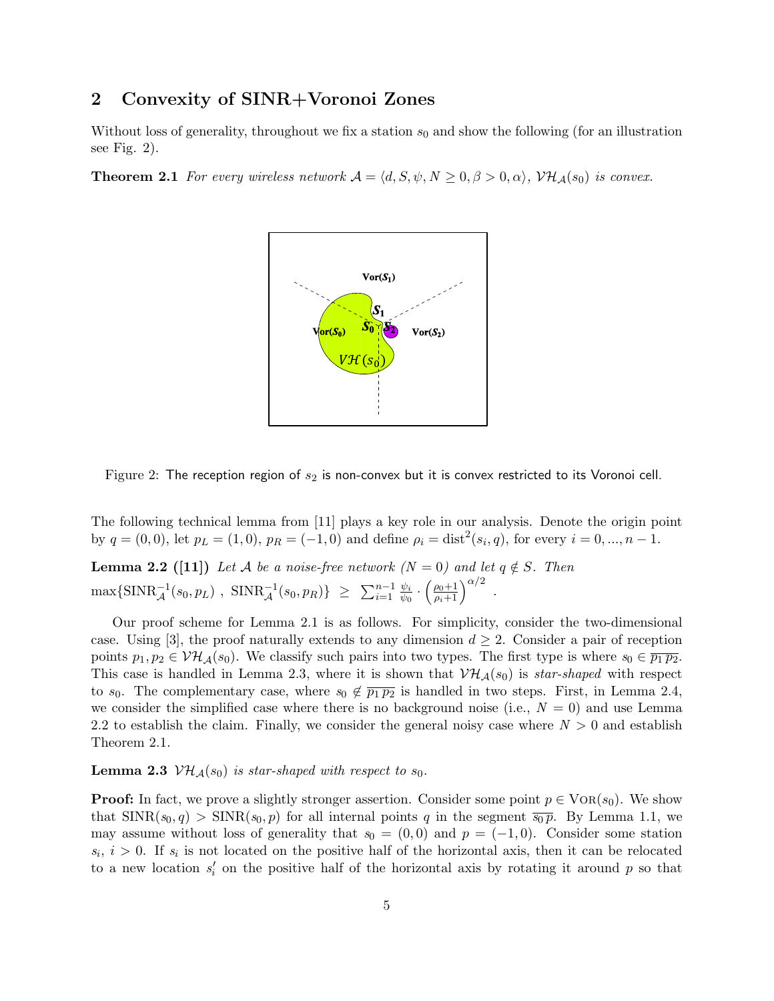# 2 Convexity of SINR+Voronoi Zones

Without loss of generality, throughout we fix a station  $s_0$  and show the following (for an illustration see Fig. 2).

**Theorem 2.1** For every wireless network  $A = \langle d, S, \psi, N \rangle \geq 0, \beta > 0, \alpha \rangle$ ,  $\mathcal{VH}_{A}(s_{0})$  is convex.



Figure 2: The reception region of  $s_2$  is non-convex but it is convex restricted to its Voronoi cell.

The following technical lemma from [11] plays a key role in our analysis. Denote the origin point by  $q = (0,0)$ , let  $p_L = (1,0)$ ,  $p_R = (-1,0)$  and define  $\rho_i = \text{dist}^2(s_i, q)$ , for every  $i = 0, ..., n - 1$ .

**Lemma 2.2** ([11]) Let A be a noise-free network ( $N = 0$ ) and let  $q \notin S$ . Then  $\max\{\mathrm{SINR}_{\mathcal{A}}^{-1}(s_0, p_L), \ \mathrm{SINR}_{\mathcal{A}}^{-1}(s_0, p_R)\} \ \geq \ \sum_{i=1}^{n-1} \frac{\psi_i}{\psi_0}$  $\frac{\psi_i}{\psi_0} \cdot \left( \frac{\rho_0+1}{\rho_i+1} \right)^{\alpha/2}$  .

Our proof scheme for Lemma 2.1 is as follows. For simplicity, consider the two-dimensional case. Using [3], the proof naturally extends to any dimension  $d \geq 2$ . Consider a pair of reception points  $p_1, p_2 \in \mathcal{VH}_{\mathcal{A}}(s_0)$ . We classify such pairs into two types. The first type is where  $s_0 \in \overline{p_1 p_2}$ . This case is handled in Lemma 2.3, where it is shown that  $V\mathcal{H}_{\mathcal{A}}(s_0)$  is star-shaped with respect to  $s_0$ . The complementary case, where  $s_0 \notin \overline{p_1 p_2}$  is handled in two steps. First, in Lemma 2.4, we consider the simplified case where there is no background noise (i.e.,  $N = 0$ ) and use Lemma 2.2 to establish the claim. Finally, we consider the general noisy case where  $N > 0$  and establish Theorem 2.1.

### **Lemma 2.3**  $V\mathcal{H}_{\mathcal{A}}(s_0)$  is star-shaped with respect to  $s_0$ .

**Proof:** In fact, we prove a slightly stronger assertion. Consider some point  $p \in \text{VOR}(s_0)$ . We show that  $\text{SINR}(s_0, q) > \text{SINR}(s_0, p)$  for all internal points q in the segment  $\overline{s_0 p}$ . By Lemma 1.1, we may assume without loss of generality that  $s_0 = (0,0)$  and  $p = (-1,0)$ . Consider some station  $s_i, i > 0$ . If  $s_i$  is not located on the positive half of the horizontal axis, then it can be relocated to a new location  $s_i'$  on the positive half of the horizontal axis by rotating it around p so that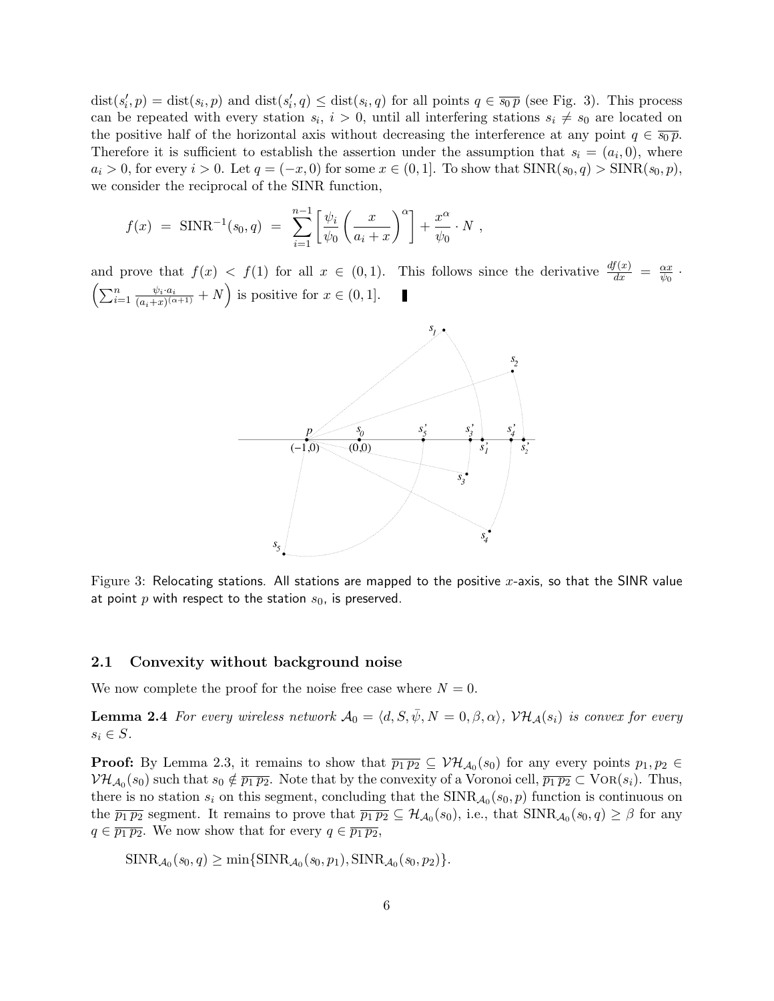$dist(s'_i, p) = dist(s_i, p)$  and  $dist(s'_i, q) \leq dist(s_i, q)$  for all points  $q \in \overline{s_0 p}$  (see Fig. 3). This process can be repeated with every station  $s_i$ ,  $i > 0$ , until all interfering stations  $s_i \neq s_0$  are located on the positive half of the horizontal axis without decreasing the interference at any point  $q \in \overline{s_0 p}$ . Therefore it is sufficient to establish the assertion under the assumption that  $s_i = (a_i, 0)$ , where  $a_i > 0$ , for every  $i > 0$ . Let  $q = (-x, 0)$  for some  $x \in (0, 1]$ . To show that  $SINR(s_0, q) > SINR(s_0, p)$ , we consider the reciprocal of the SINR function,

$$
f(x) = \text{SINR}^{-1}(s_0, q) = \sum_{i=1}^{n-1} \left[ \frac{\psi_i}{\psi_0} \left( \frac{x}{a_i + x} \right)^{\alpha} \right] + \frac{x^{\alpha}}{\psi_0} \cdot N ,
$$

and prove that  $f(x) < f(1)$  for all  $x \in (0,1)$ . This follows since the derivative  $\frac{df(x)}{dx} = \frac{\alpha x}{\psi_0}$  $\frac{\alpha x}{\psi_0}$  .  $\left(\sum_{i=1}^n \frac{\psi_i \cdot a_i}{(a_i+x)^{(c)}}\right)$  $\frac{\psi_i \cdot a_i}{(a_i+x)^{(\alpha+1)}} + N$  is positive for  $x \in (0,1]$ .



Figure 3: Relocating stations. All stations are mapped to the positive x-axis, so that the SINR value at point p with respect to the station  $s_0$ , is preserved.

#### 2.1 Convexity without background noise

We now complete the proof for the noise free case where  $N = 0$ .

**Lemma 2.4** For every wireless network  $\mathcal{A}_0 = \langle d, S, \bar{\psi}, N = 0, \beta, \alpha \rangle$ ,  $\mathcal{VH}_{\mathcal{A}}(s_i)$  is convex for every  $s_i \in S$ .

**Proof:** By Lemma 2.3, it remains to show that  $\overline{p_1p_2} \subseteq \mathcal{VH}_{\mathcal{A}_0}(s_0)$  for any every points  $p_1, p_2 \in$  $V\mathcal{H}_{\mathcal{A}_0}(s_0)$  such that  $s_0 \notin \overline{p_1p_2}$ . Note that by the convexity of a Voronoi cell,  $\overline{p_1p_2} \subset \text{VOR}(s_i)$ . Thus, there is no station  $s_i$  on this segment, concluding that the  $SINR_{\mathcal{A}_0}(s_0, p)$  function is continuous on the  $\overline{p_1p_2}$  segment. It remains to prove that  $\overline{p_1p_2} \subseteq H_{\mathcal{A}_0}(s_0)$ , i.e., that  $\text{SINR}_{\mathcal{A}_0}(s_0, q) \geq \beta$  for any  $q \in \overline{p_1 p_2}$ . We now show that for every  $q \in \overline{p_1 p_2}$ ,

$$
\text{SINR}_{\mathcal{A}_0}(s_0, q) \ge \min\{\text{SINR}_{\mathcal{A}_0}(s_0, p_1), \text{SINR}_{\mathcal{A}_0}(s_0, p_2)\}.
$$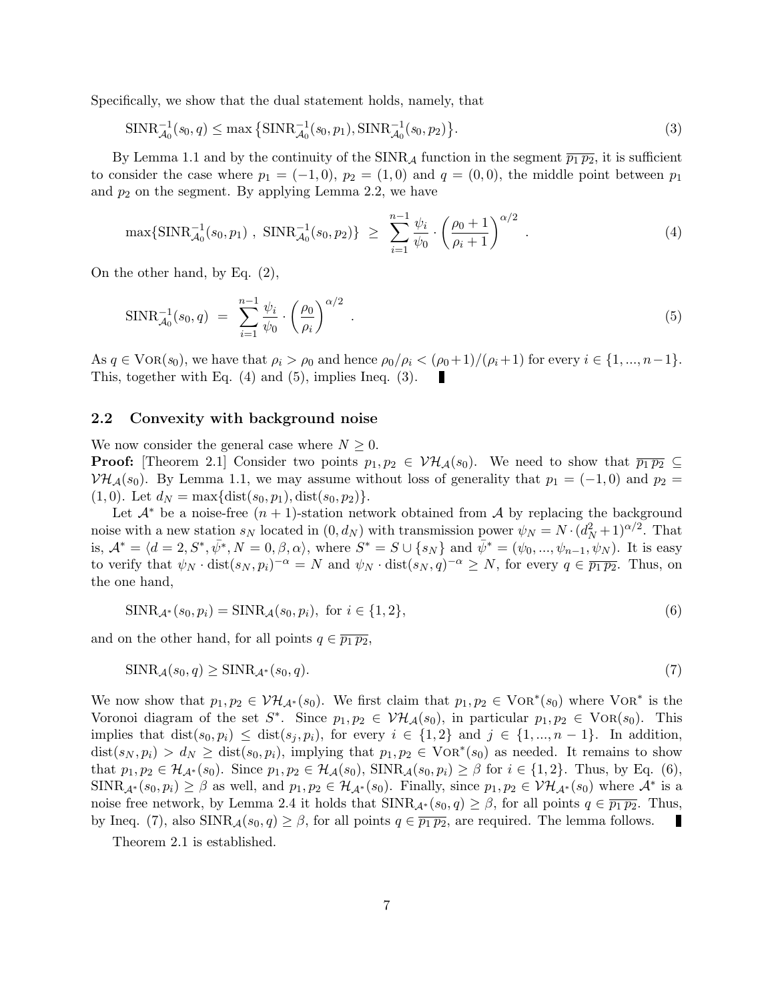Specifically, we show that the dual statement holds, namely, that

$$
\text{SINR}_{\mathcal{A}_0}^{-1}(s_0, q) \le \max\left\{ \text{SINR}_{\mathcal{A}_0}^{-1}(s_0, p_1), \text{SINR}_{\mathcal{A}_0}^{-1}(s_0, p_2) \right\}. \tag{3}
$$

By Lemma 1.1 and by the continuity of the SINR<sub>A</sub> function in the segment  $\overline{p_1 p_2}$ , it is sufficient to consider the case where  $p_1 = (-1,0), p_2 = (1,0)$  and  $q = (0,0)$ , the middle point between  $p_1$ and  $p_2$  on the segment. By applying Lemma 2.2, we have

$$
\max\{\text{SINR}_{\mathcal{A}_0}^{-1}(s_0, p_1) , \ \text{SINR}_{\mathcal{A}_0}^{-1}(s_0, p_2)\} \ \geq \ \sum_{i=1}^{n-1} \frac{\psi_i}{\psi_0} \cdot \left(\frac{\rho_0 + 1}{\rho_i + 1}\right)^{\alpha/2} \ . \tag{4}
$$

On the other hand, by Eq. (2),

$$
SINR_{\mathcal{A}_0}^{-1}(s_0, q) = \sum_{i=1}^{n-1} \frac{\psi_i}{\psi_0} \cdot \left(\frac{\rho_0}{\rho_i}\right)^{\alpha/2} . \tag{5}
$$

As  $q \in \text{VOR}(s_0)$ , we have that  $\rho_i > \rho_0$  and hence  $\rho_0/\rho_i < (\rho_0+1)/(\rho_i+1)$  for every  $i \in \{1, ..., n-1\}$ . This, together with Eq. (4) and (5), implies Ineq. (3).

## 2.2 Convexity with background noise

We now consider the general case where  $N \geq 0$ .

**Proof:** [Theorem 2.1] Consider two points  $p_1, p_2 \in V\mathcal{H}_{\mathcal{A}}(s_0)$ . We need to show that  $\overline{p_1 p_2} \subseteq$  $V\mathcal{H}_{\mathcal{A}}(s_0)$ . By Lemma 1.1, we may assume without loss of generality that  $p_1 = (-1,0)$  and  $p_2 =$  $(1, 0)$ . Let  $d_N = \max\{\text{dist}(s_0, p_1), \text{dist}(s_0, p_2)\}.$ 

Let  $\mathcal{A}^*$  be a noise-free  $(n + 1)$ -station network obtained from A by replacing the background noise with a new station  $s_N$  located in  $(0, d_N)$  with transmission power  $\psi_N = N \cdot (d_N^2 + 1)^{\alpha/2}$ . That is,  $\mathcal{A}^* = \langle d = 2, S^*, \bar{\psi^*}, N = 0, \beta, \alpha \rangle$ , where  $S^* = S \cup \{s_N\}$  and  $\bar{\psi}^* = (\psi_0, ..., \psi_{n-1}, \psi_N)$ . It is easy to verify that  $\psi_N \cdot \text{dist}(s_N, p_i)^{-\alpha} = N$  and  $\psi_N \cdot \text{dist}(s_N, q)^{-\alpha} \ge N$ , for every  $q \in \overline{p_1p_2}$ . Thus, on the one hand,

$$
\text{SINR}_{\mathcal{A}^*}(s_0, p_i) = \text{SINR}_{\mathcal{A}}(s_0, p_i), \text{ for } i \in \{1, 2\},\tag{6}
$$

and on the other hand, for all points  $q \in \overline{p_1 p_2}$ ,

$$
\text{SINR}_{\mathcal{A}}(s_0, q) \ge \text{SINR}_{\mathcal{A}^*}(s_0, q). \tag{7}
$$

We now show that  $p_1, p_2 \in V\mathcal{H}_{\mathcal{A}^*}(s_0)$ . We first claim that  $p_1, p_2 \in \text{VOR}^*(s_0)$  where  $\text{VOR}^*$  is the Voronoi diagram of the set  $S^*$ . Since  $p_1, p_2 \in V\mathcal{H}_{\mathcal{A}}(s_0)$ , in particular  $p_1, p_2 \in V\text{OR}(s_0)$ . This implies that  $dist(s_0, p_i) \leq dist(s_j, p_i)$ , for every  $i \in \{1, 2\}$  and  $j \in \{1, ..., n-1\}$ . In addition,  $dist(s_N, p_i) > d_N \geq dist(s_0, p_i)$ , implying that  $p_1, p_2 \in \text{VOR}^*(s_0)$  as needed. It remains to show that  $p_1, p_2 \in \mathcal{H}_{\mathcal{A}^*}(s_0)$ . Since  $p_1, p_2 \in \mathcal{H}_{\mathcal{A}}(s_0)$ , SINR $\mathcal{A}(s_0, p_i) \geq \beta$  for  $i \in \{1, 2\}$ . Thus, by Eq. (6),  $SINR_{\mathcal{A}^*}(s_0, p_i) \geq \beta$  as well, and  $p_1, p_2 \in \mathcal{H}_{\mathcal{A}^*}(s_0)$ . Finally, since  $p_1, p_2 \in \mathcal{VH}_{\mathcal{A}^*}(s_0)$  where  $\mathcal{A}^*$  is a noise free network, by Lemma 2.4 it holds that  $SINR_{\mathcal{A}^*}(s_0, q) \geq \beta$ , for all points  $q \in \overline{p_1p_2}$ . Thus, by Ineq. (7), also  $\text{SINR}_{\mathcal{A}}(s_0, q) \geq \beta$ , for all points  $q \in \overline{p_1 p_2}$ , are required. The lemma follows.

Theorem 2.1 is established.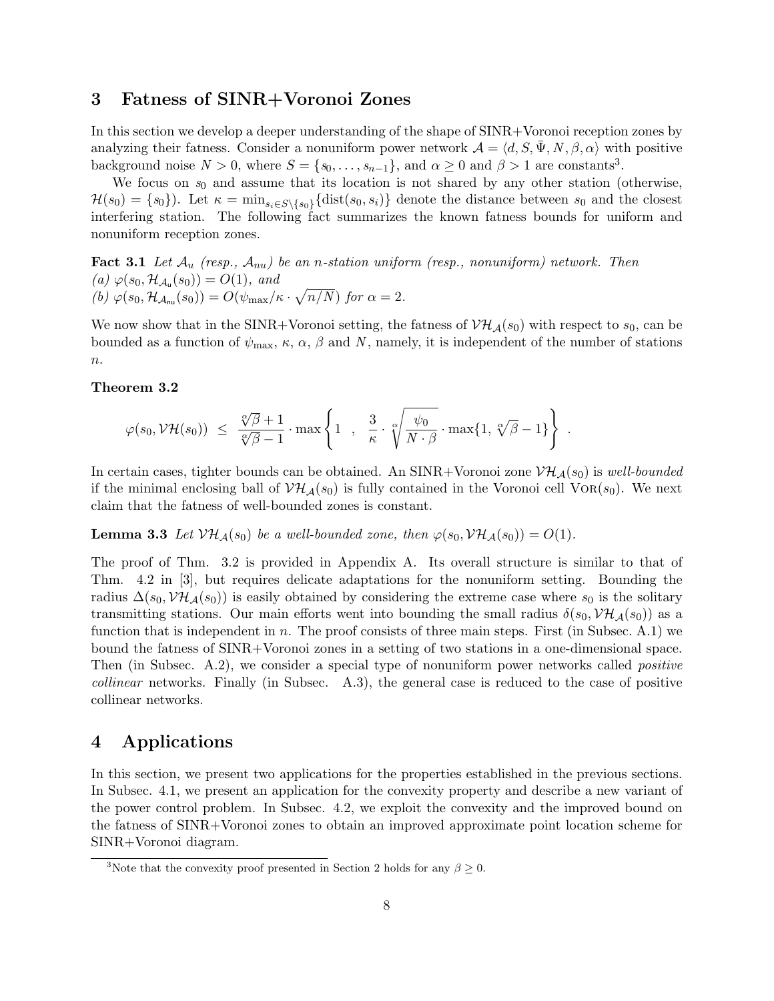## 3 Fatness of SINR+Voronoi Zones

In this section we develop a deeper understanding of the shape of SINR+Voronoi reception zones by analyzing their fatness. Consider a nonuniform power network  $\mathcal{A} = \langle d, S, \bar{\Psi}, N, \beta, \alpha \rangle$  with positive background noise  $N > 0$ , where  $S = \{s_0, \ldots, s_{n-1}\}\$ , and  $\alpha \geq 0$  and  $\beta > 1$  are constants<sup>3</sup>.

We focus on  $s_0$  and assume that its location is not shared by any other station (otherwise,  $\mathcal{H}(s_0) = \{s_0\}$ . Let  $\kappa = \min_{s_i \in S \setminus \{s_0\}} {\text{dist}(s_0, s_i)}$  denote the distance between  $s_0$  and the closest interfering station. The following fact summarizes the known fatness bounds for uniform and nonuniform reception zones.

**Fact 3.1** Let  $\mathcal{A}_u$  (resp.,  $\mathcal{A}_{nu}$ ) be an n-station uniform (resp., nonuniform) network. Then (a)  $\varphi(s_0, \mathcal{H}_{\mathcal{A}_{u}}(s_0)) = O(1)$ , and (b)  $\varphi(s_0, \mathcal{H}_{\mathcal{A}_{nu}}(s_0)) = O(\psi_{max}/\kappa \cdot \sqrt{n/N})$  for  $\alpha = 2$ .

We now show that in the SINR+Voronoi setting, the fatness of  $V\mathcal{H}_{\mathcal{A}}(s_0)$  with respect to  $s_0$ , can be bounded as a function of  $\psi_{\text{max}}$ ,  $\kappa$ ,  $\alpha$ ,  $\beta$  and N, namely, it is independent of the number of stations  $n$ .

### Theorem 3.2

$$
\varphi(s_0, \mathcal{V}\mathcal{H}(s_0)) \ \leq \ \frac{\sqrt[\alpha]{\beta}+1}{\sqrt[\alpha]{\beta}-1} \cdot \max\left\{1 \ , \ \frac{3}{\kappa} \cdot \sqrt[\alpha]{\frac{\psi_0}{N \cdot \beta}} \cdot \max\{1, \sqrt[\alpha]{\beta}-1\} \right\} \ .
$$

In certain cases, tighter bounds can be obtained. An SINR+Voronoi zone  $\mathcal{VH}_{\mathcal{A}}(s_0)$  is well-bounded if the minimal enclosing ball of  $V\mathcal{H}_{\mathcal{A}}(s_0)$  is fully contained in the Voronoi cell VOR( $s_0$ ). We next claim that the fatness of well-bounded zones is constant.

**Lemma 3.3** Let  $V\mathcal{H}_{\mathcal{A}}(s_0)$  be a well-bounded zone, then  $\varphi(s_0, V\mathcal{H}_{\mathcal{A}}(s_0)) = O(1)$ .

The proof of Thm. 3.2 is provided in Appendix A. Its overall structure is similar to that of Thm. 4.2 in [3], but requires delicate adaptations for the nonuniform setting. Bounding the radius  $\Delta(s_0, \mathcal{VH}_{\mathcal{A}}(s_0))$  is easily obtained by considering the extreme case where  $s_0$  is the solitary transmitting stations. Our main efforts went into bounding the small radius  $\delta(s_0, \mathcal{VH}_{\mathcal{A}}(s_0))$  as a function that is independent in n. The proof consists of three main steps. First (in Subsec. A.1) we bound the fatness of SINR+Voronoi zones in a setting of two stations in a one-dimensional space. Then (in Subsec. A.2), we consider a special type of nonuniform power networks called *positive* collinear networks. Finally (in Subsec. A.3), the general case is reduced to the case of positive collinear networks.

# 4 Applications

In this section, we present two applications for the properties established in the previous sections. In Subsec. 4.1, we present an application for the convexity property and describe a new variant of the power control problem. In Subsec. 4.2, we exploit the convexity and the improved bound on the fatness of SINR+Voronoi zones to obtain an improved approximate point location scheme for SINR+Voronoi diagram.

<sup>&</sup>lt;sup>3</sup>Note that the convexity proof presented in Section 2 holds for any  $\beta \geq 0$ .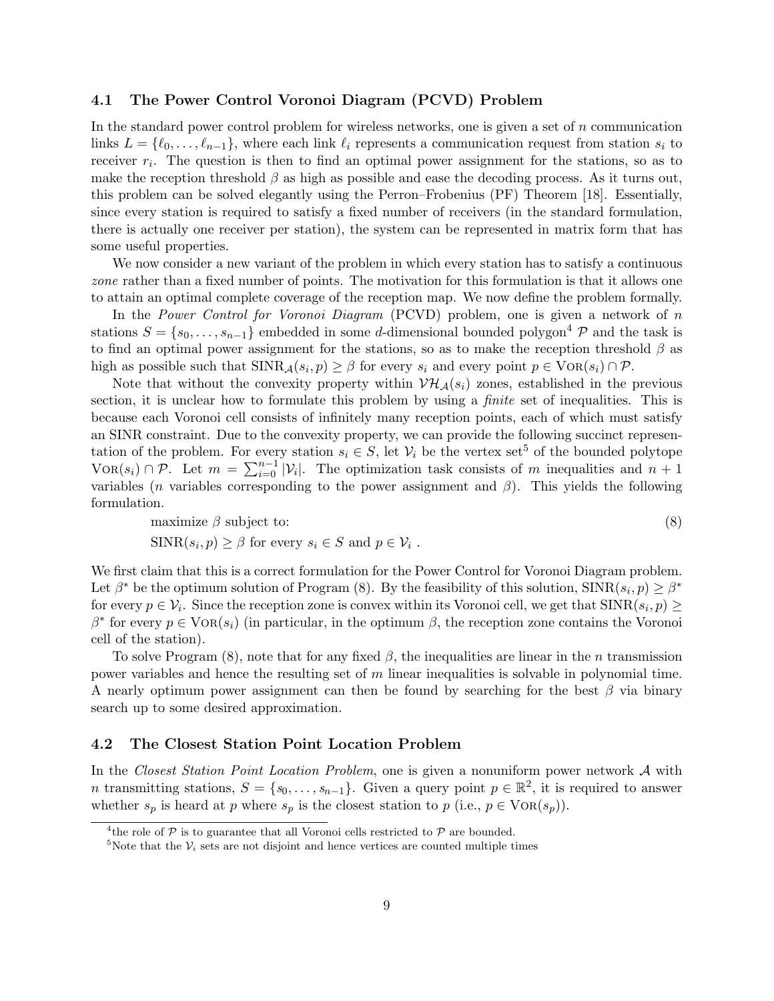## 4.1 The Power Control Voronoi Diagram (PCVD) Problem

In the standard power control problem for wireless networks, one is given a set of  $n$  communication links  $L = \{\ell_0, \ldots, \ell_{n-1}\}\$ , where each link  $\ell_i$  represents a communication request from station  $s_i$  to receiver  $r_i$ . The question is then to find an optimal power assignment for the stations, so as to make the reception threshold  $\beta$  as high as possible and ease the decoding process. As it turns out, this problem can be solved elegantly using the Perron–Frobenius (PF) Theorem [18]. Essentially, since every station is required to satisfy a fixed number of receivers (in the standard formulation, there is actually one receiver per station), the system can be represented in matrix form that has some useful properties.

We now consider a new variant of the problem in which every station has to satisfy a continuous zone rather than a fixed number of points. The motivation for this formulation is that it allows one to attain an optimal complete coverage of the reception map. We now define the problem formally.

In the Power Control for Voronoi Diagram (PCVD) problem, one is given a network of n stations  $S = \{s_0, \ldots, s_{n-1}\}\$ embedded in some d-dimensional bounded polygon<sup>4</sup>  $\mathcal P$  and the task is to find an optimal power assignment for the stations, so as to make the reception threshold  $\beta$  as high as possible such that  $SINR_{\mathcal{A}}(s_i, p) \geq \beta$  for every  $s_i$  and every point  $p \in \text{VOR}(s_i) \cap \mathcal{P}$ .

Note that without the convexity property within  $\mathcal{VH}_{\mathcal{A}}(s_i)$  zones, established in the previous section, it is unclear how to formulate this problem by using a *finite* set of inequalities. This is because each Voronoi cell consists of infinitely many reception points, each of which must satisfy an SINR constraint. Due to the convexity property, we can provide the following succinct representation of the problem. For every station  $s_i \in S$ , let  $\mathcal{V}_i$  be the vertex set<sup>5</sup> of the bounded polytope VOR(s<sub>i</sub>) ∩ P. Let  $m = \sum_{i=0}^{n-1} |\mathcal{V}_i|$ . The optimization task consists of m inequalities and  $n+1$ variables (*n* variables corresponding to the power assignment and  $\beta$ ). This yields the following formulation.

maximize 
$$
\beta
$$
 subject to:  
\n
$$
\text{SINR}(s_i, p) \ge \beta \text{ for every } s_i \in S \text{ and } p \in \mathcal{V}_i.
$$
\n(8)

We first claim that this is a correct formulation for the Power Control for Voronoi Diagram problem. Let  $\beta^*$  be the optimum solution of Program (8). By the feasibility of this solution,  $\text{SINR}(s_i, p) \geq \beta^*$ for every  $p \in \mathcal{V}_i$ . Since the reception zone is convex within its Voronoi cell, we get that  $\text{SINR}(s_i, p) \geq$  $\beta^*$  for every  $p \in \text{VOR}(s_i)$  (in particular, in the optimum  $\beta$ , the reception zone contains the Voronoi cell of the station).

To solve Program (8), note that for any fixed  $\beta$ , the inequalities are linear in the n transmission power variables and hence the resulting set of m linear inequalities is solvable in polynomial time. A nearly optimum power assignment can then be found by searching for the best  $\beta$  via binary search up to some desired approximation.

## 4.2 The Closest Station Point Location Problem

In the Closest Station Point Location Problem, one is given a nonuniform power network A with n transmitting stations,  $S = \{s_0, \ldots, s_{n-1}\}.$  Given a query point  $p \in \mathbb{R}^2$ , it is required to answer whether  $s_p$  is heard at p where  $s_p$  is the closest station to  $p$  (i.e.,  $p \in \text{VOR}(s_p)$ ).

<sup>&</sup>lt;sup>4</sup> the role of  $P$  is to guarantee that all Voronoi cells restricted to  $P$  are bounded.

<sup>&</sup>lt;sup>5</sup>Note that the  $V_i$  sets are not disjoint and hence vertices are counted multiple times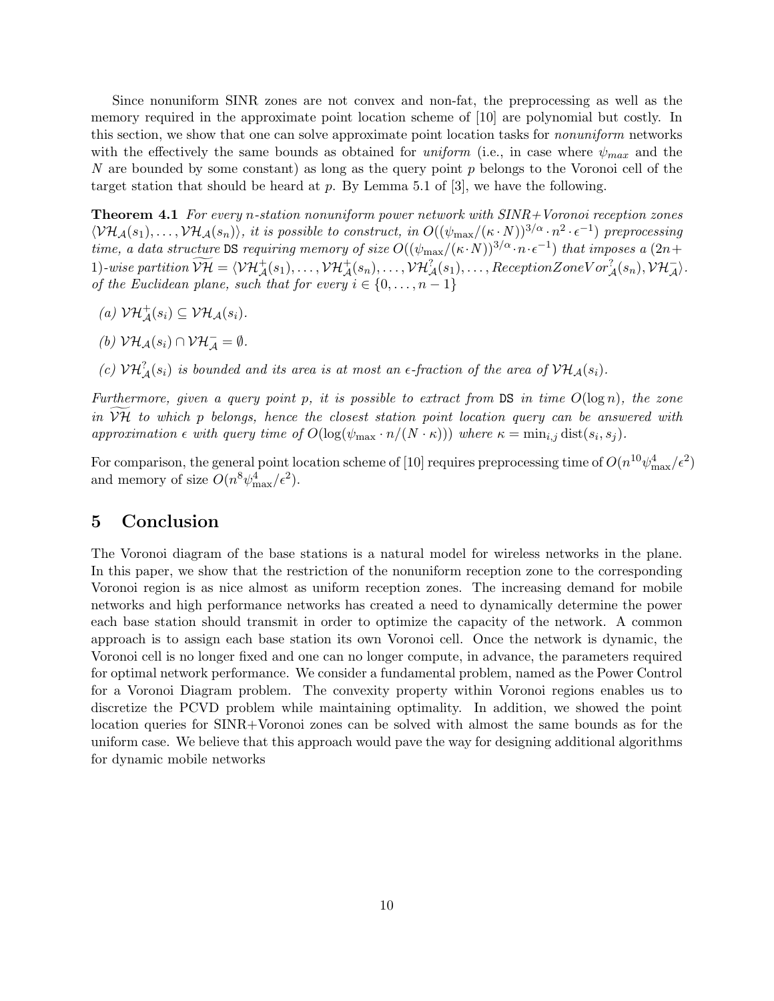Since nonuniform SINR zones are not convex and non-fat, the preprocessing as well as the memory required in the approximate point location scheme of [10] are polynomial but costly. In this section, we show that one can solve approximate point location tasks for *nonuniform* networks with the effectively the same bounds as obtained for *uniform* (i.e., in case where  $\psi_{max}$  and the N are bounded by some constant) as long as the query point  $p$  belongs to the Voronoi cell of the target station that should be heard at  $p$ . By Lemma 5.1 of [3], we have the following.

**Theorem 4.1** For every n-station nonuniform power network with  $SINR+V$ oronoi reception zones  $\langle V\mathcal{H}_{\mathcal{A}}(s_1),\ldots,V\mathcal{H}_{\mathcal{A}}(s_n)\rangle$ , it is possible to construct, in  $O((\psi_{\max}/(\kappa\cdot N))^{3/\alpha}\cdot n^2\cdot \epsilon^{-1})$  preprocessing time, a data structure DS requiring memory of size  $O((\psi_{\max}/(\kappa \cdot N))^{3/\alpha} \cdot n \cdot \epsilon^{-1})$  that imposes a  $(2n+\epsilon)$ 1)-wise partition  $\widetilde{\mathcal{V}\mathcal{H}} = \langle \mathcal{V}\mathcal{H}^+_{\mathcal{A}}(s_1), \ldots, \mathcal{V}\mathcal{H}^+_{\mathcal{A}}(s_n), \ldots, \mathcal{V}\mathcal{H}^2_{\mathcal{A}}(s_1), \ldots, \text{Reception} \text{Zone} \text{V}\text{or}^2_{\mathcal{A}}(s_n), \mathcal{V}\mathcal{H}^-_{\mathcal{A}}\rangle.$ of the Euclidean plane, such that for every  $i \in \{0, \ldots, n-1\}$ 

- (a)  $\mathcal{VH}_{\mathcal{A}}^{+}(s_i) \subseteq \mathcal{VH}_{\mathcal{A}}(s_i)$ .
- (b)  $\mathcal{VH}_{\mathcal{A}}(s_i) \cap \mathcal{VH}_{\mathcal{A}}^{-} = \emptyset.$
- (c)  $V\mathcal{H}_{\mathcal{A}}^2(s_i)$  is bounded and its area is at most an  $\epsilon$ -fraction of the area of  $V\mathcal{H}_{\mathcal{A}}(s_i)$ .

Furthermore, given a query point p, it is possible to extract from DS in time  $O(\log n)$ , the zone in  $V\mathcal{H}$  to which p belongs, hence the closest station point location query can be answered with approximation  $\epsilon$  with query time of  $O(\log(\psi_{\max} \cdot n/(N \cdot \kappa)))$  where  $\kappa = \min_{i,j} \text{dist}(s_i, s_j)$ .

For comparison, the general point location scheme of [10] requires preprocessing time of  $O(n^{10}\psi_{\rm max}^4/\epsilon^2)$ and memory of size  $O(n^8 \psi_{\text{max}}^4/\epsilon^2)$ .

# 5 Conclusion

The Voronoi diagram of the base stations is a natural model for wireless networks in the plane. In this paper, we show that the restriction of the nonuniform reception zone to the corresponding Voronoi region is as nice almost as uniform reception zones. The increasing demand for mobile networks and high performance networks has created a need to dynamically determine the power each base station should transmit in order to optimize the capacity of the network. A common approach is to assign each base station its own Voronoi cell. Once the network is dynamic, the Voronoi cell is no longer fixed and one can no longer compute, in advance, the parameters required for optimal network performance. We consider a fundamental problem, named as the Power Control for a Voronoi Diagram problem. The convexity property within Voronoi regions enables us to discretize the PCVD problem while maintaining optimality. In addition, we showed the point location queries for SINR+Voronoi zones can be solved with almost the same bounds as for the uniform case. We believe that this approach would pave the way for designing additional algorithms for dynamic mobile networks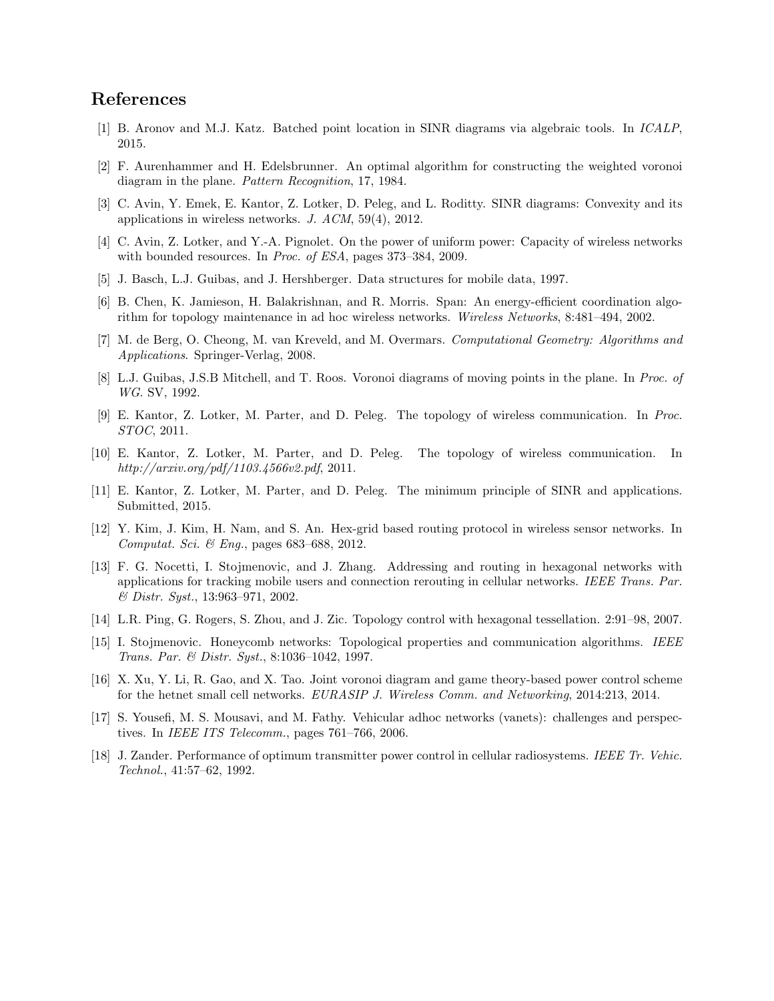# References

- [1] B. Aronov and M.J. Katz. Batched point location in SINR diagrams via algebraic tools. In ICALP, 2015.
- [2] F. Aurenhammer and H. Edelsbrunner. An optimal algorithm for constructing the weighted voronoi diagram in the plane. Pattern Recognition, 17, 1984.
- [3] C. Avin, Y. Emek, E. Kantor, Z. Lotker, D. Peleg, and L. Roditty. SINR diagrams: Convexity and its applications in wireless networks. J. ACM, 59(4), 2012.
- [4] C. Avin, Z. Lotker, and Y.-A. Pignolet. On the power of uniform power: Capacity of wireless networks with bounded resources. In *Proc. of ESA*, pages 373-384, 2009.
- [5] J. Basch, L.J. Guibas, and J. Hershberger. Data structures for mobile data, 1997.
- [6] B. Chen, K. Jamieson, H. Balakrishnan, and R. Morris. Span: An energy-efficient coordination algorithm for topology maintenance in ad hoc wireless networks. Wireless Networks, 8:481–494, 2002.
- [7] M. de Berg, O. Cheong, M. van Kreveld, and M. Overmars. Computational Geometry: Algorithms and Applications. Springer-Verlag, 2008.
- [8] L.J. Guibas, J.S.B Mitchell, and T. Roos. Voronoi diagrams of moving points in the plane. In Proc. of WG. SV, 1992.
- [9] E. Kantor, Z. Lotker, M. Parter, and D. Peleg. The topology of wireless communication. In Proc. STOC, 2011.
- [10] E. Kantor, Z. Lotker, M. Parter, and D. Peleg. The topology of wireless communication. In http://arxiv.org/pdf/1103.4566v2.pdf, 2011.
- [11] E. Kantor, Z. Lotker, M. Parter, and D. Peleg. The minimum principle of SINR and applications. Submitted, 2015.
- [12] Y. Kim, J. Kim, H. Nam, and S. An. Hex-grid based routing protocol in wireless sensor networks. In Computat. Sci. & Eng., pages 683–688, 2012.
- [13] F. G. Nocetti, I. Stojmenovic, and J. Zhang. Addressing and routing in hexagonal networks with applications for tracking mobile users and connection rerouting in cellular networks. IEEE Trans. Par. & Distr. Syst., 13:963–971, 2002.
- [14] L.R. Ping, G. Rogers, S. Zhou, and J. Zic. Topology control with hexagonal tessellation. 2:91–98, 2007.
- [15] I. Stojmenovic. Honeycomb networks: Topological properties and communication algorithms. IEEE Trans. Par. & Distr. Syst., 8:1036–1042, 1997.
- [16] X. Xu, Y. Li, R. Gao, and X. Tao. Joint voronoi diagram and game theory-based power control scheme for the hetnet small cell networks. EURASIP J. Wireless Comm. and Networking, 2014:213, 2014.
- [17] S. Yousefi, M. S. Mousavi, and M. Fathy. Vehicular adhoc networks (vanets): challenges and perspectives. In IEEE ITS Telecomm., pages 761–766, 2006.
- [18] J. Zander. Performance of optimum transmitter power control in cellular radiosystems. IEEE Tr. Vehic. Technol., 41:57–62, 1992.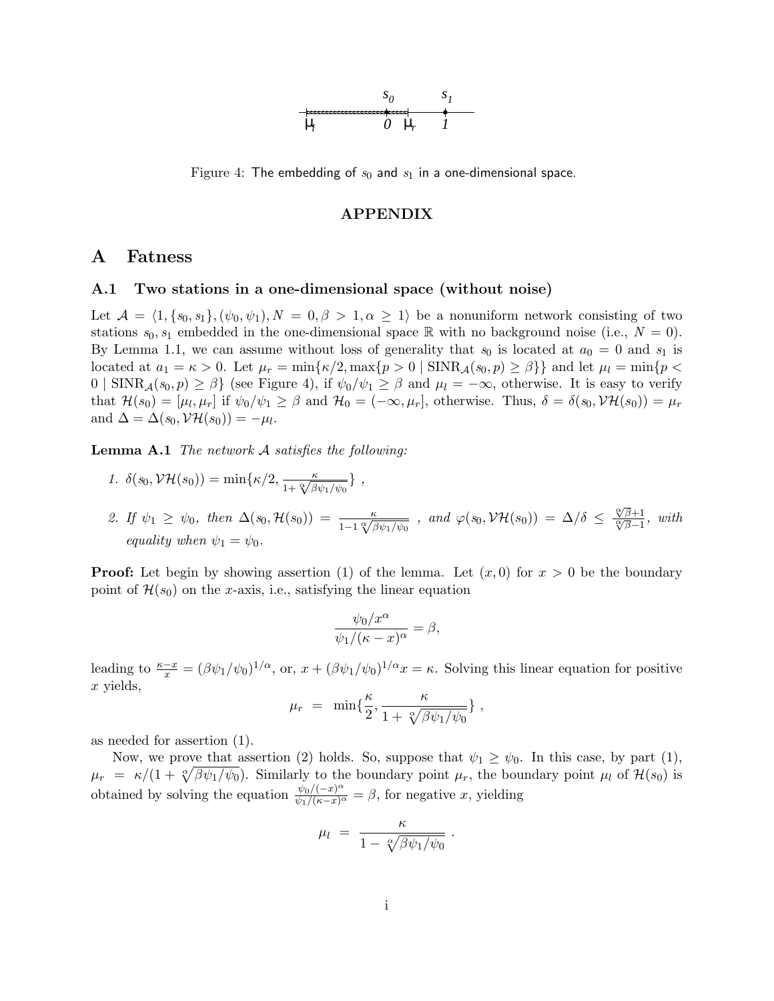

Figure 4: The embedding of  $s_0$  and  $s_1$  in a one-dimensional space.

### APPENDIX

## A Fatness

### A.1 Two stations in a one-dimensional space (without noise)

Let  $\mathcal{A} = \langle 1, {s_0, s_1}, (\psi_0, \psi_1), N = 0, \beta > 1, \alpha \geq 1 \rangle$  be a nonuniform network consisting of two stations  $s_0, s_1$  embedded in the one-dimensional space R with no background noise (i.e.,  $N = 0$ ). By Lemma 1.1, we can assume without loss of generality that  $s_0$  is located at  $a_0 = 0$  and  $s_1$  is located at  $a_1 = \kappa > 0$ . Let  $\mu_r = \min\{\kappa/2, \max\{p > 0 \mid \text{SINR}_{\mathcal{A}}(s_0, p) \geq \beta\}\}\$  and let  $\mu_l = \min\{p <$  $0 \mid \text{SINR}_{\mathcal{A}}(s_0, p) \geq \beta \}$  (see Figure 4), if  $\psi_0/\psi_1 \geq \beta$  and  $\mu_l = -\infty$ , otherwise. It is easy to verify that  $\mathcal{H}(s_0) = [\mu_l, \mu_r]$  if  $\psi_0/\psi_1 \ge \beta$  and  $\mathcal{H}_0 = (-\infty, \mu_r]$ , otherwise. Thus,  $\delta = \delta(s_0, \mathcal{V}\mathcal{H}(s_0)) = \mu_r$ and  $\Delta = \Delta(s_0, \mathcal{VH}(s_0)) = -\mu_l.$ 

**Lemma A.1** The network  $\mathcal A$  satisfies the following:

- 1.  $\delta(s_0, \mathcal{VH}(s_0)) = \min\{\kappa/2, \frac{\kappa}{1+\sqrt[\kappa]{\beta\psi_1/\psi_0}}\},$
- 2. If  $\psi_1 \geq \psi_0$ , then  $\Delta(s_0, \mathcal{H}(s_0)) = \frac{\kappa}{1 1 \sqrt[\alpha]{\beta \psi_1/\psi_0}}$ , and  $\varphi(s_0, \mathcal{VH}(s_0)) = \Delta/\delta \leq$  $\frac{\sqrt{\beta}+1}{\sqrt[\alpha]{\beta}-1}$ , with equality when  $\psi_1 = \psi_0$ .

**Proof:** Let begin by showing assertion (1) of the lemma. Let  $(x, 0)$  for  $x > 0$  be the boundary point of  $\mathcal{H}(s_0)$  on the x-axis, i.e., satisfying the linear equation

$$
\frac{\psi_0/x^{\alpha}}{\psi_1/(\kappa-x)^{\alpha}} = \beta,
$$

leading to  $\frac{\kappa - x}{x} = (\beta \psi_1/\psi_0)^{1/\alpha}$ , or,  $x + (\beta \psi_1/\psi_0)^{1/\alpha}x = \kappa$ . Solving this linear equation for positive x yields,

$$
\mu_r = \min\{\frac{\kappa}{2}, \frac{\kappa}{1 + \sqrt[\kappa]{\beta \psi_1/\psi_0}}\},\,
$$

as needed for assertion (1).

Now, we prove that assertion (2) holds. So, suppose that  $\psi_1 \geq \psi_0$ . In this case, by part (1),  $\mu_r = \kappa/(1 + \sqrt{\gamma \beta} \psi_1/\psi_0)$ . Similarly to the boundary point  $\mu_r$ , the boundary point  $\mu_l$  of  $\mathcal{H}(s_0)$  is obtained by solving the equation  $\frac{\psi_0/(-x)^{\alpha}}{\psi_1/(\kappa-x)^{\alpha}} = \beta$ , for negative x, yielding

$$
\mu_l = \frac{\kappa}{1 - \sqrt[\alpha]{\beta \psi_1/\psi_0}} \; .
$$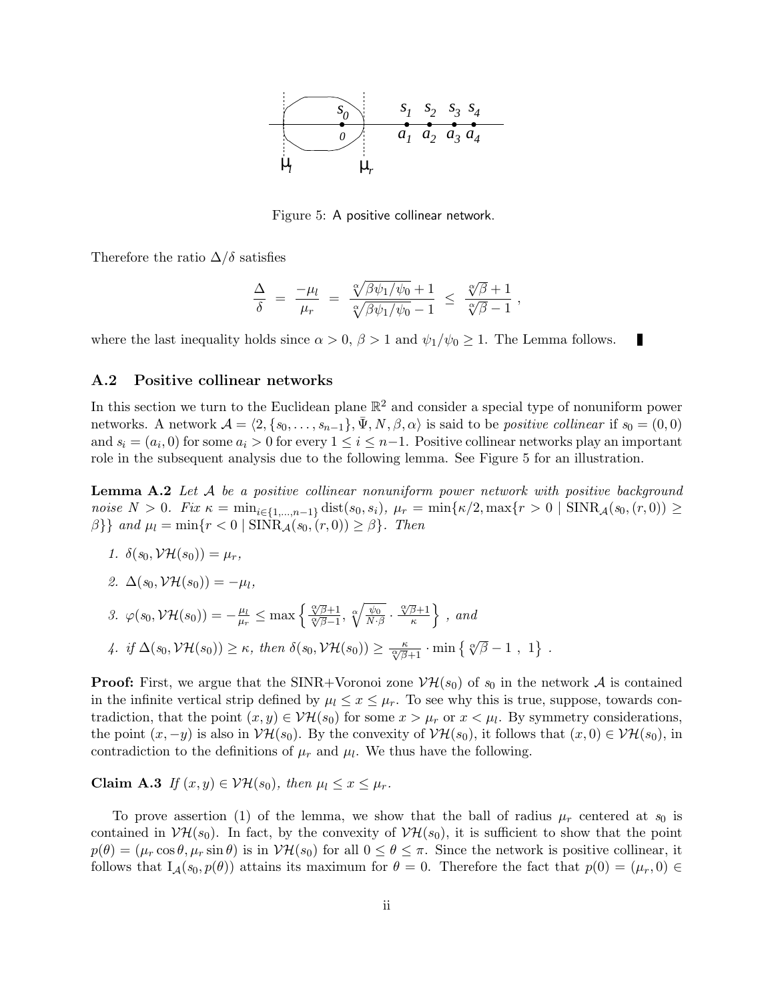

Figure 5: A positive collinear network.

Therefore the ratio  $\Delta/\delta$  satisfies

$$
\frac{\Delta}{\delta} = \frac{-\mu_l}{\mu_r} = \frac{\sqrt[\alpha]{\beta\psi_1/\psi_0} + 1}{\sqrt[\alpha]{\beta\psi_1/\psi_0} - 1} \le \frac{\sqrt[\alpha]{\beta} + 1}{\sqrt[\alpha]{\beta} - 1},
$$

П

where the last inequality holds since  $\alpha > 0$ ,  $\beta > 1$  and  $\psi_1/\psi_0 \geq 1$ . The Lemma follows.

### A.2 Positive collinear networks

In this section we turn to the Euclidean plane  $\mathbb{R}^2$  and consider a special type of nonuniform power networks. A network  $\mathcal{A} = \langle 2, \{s_0, \ldots, s_{n-1}\}, \bar{\Psi}, N, \beta, \alpha \rangle$  is said to be *positive collinear* if  $s_0 = (0, 0)$ and  $s_i = (a_i, 0)$  for some  $a_i > 0$  for every  $1 \leq i \leq n-1$ . Positive collinear networks play an important role in the subsequent analysis due to the following lemma. See Figure 5 for an illustration.

**Lemma A.2** Let  $A$  be a positive collinear nonuniform power network with positive background noise  $N > 0$ . Fix  $\kappa = \min_{i \in \{1,...,n-1\}} \text{dist}(s_0, s_i)$ ,  $\mu_r = \min\{\kappa/2, \max\{r > 0 \mid \text{SINR}_{\mathcal{A}}(s_0, (r, 0)) \geq \kappa\}$ β}} and  $\mu_l = \min\{r < 0 \mid \text{SINR}_{\mathcal{A}}(s_0, (r, 0)) \geq \beta\}$ . Then

- 1.  $\delta(s_0, \mathcal{V}\mathcal{H}(s_0)) = \mu_r$ ,
- 2.  $\Delta(s_0, \mathcal{V}\mathcal{H}(s_0)) = -\mu_l$ ,

3. 
$$
\varphi(s_0, \mathcal{V}\mathcal{H}(s_0)) = -\frac{\mu_l}{\mu_r} \le \max\left\{\frac{\sqrt{\beta}+1}{\sqrt[\infty]{\beta}-1}, \sqrt[\infty]{\frac{\psi_0}{N\cdot\beta}} \cdot \frac{\sqrt[\infty]{\beta}+1}{\kappa}\right\}, \text{ and}
$$

4. if 
$$
\Delta(s_0, \mathcal{VH}(s_0)) \ge \kappa
$$
, then  $\delta(s_0, \mathcal{VH}(s_0)) \ge \frac{\kappa}{\sqrt[\infty]{\beta+1}} \cdot \min \{ \sqrt[\infty]{\beta} - 1, 1 \}$ .

**Proof:** First, we argue that the SINR+Voronoi zone  $V\mathcal{H}(s_0)$  of  $s_0$  in the network A is contained in the infinite vertical strip defined by  $\mu_l \leq x \leq \mu_r$ . To see why this is true, suppose, towards contradiction, that the point  $(x, y) \in \mathcal{V}\mathcal{H}(s_0)$  for some  $x > \mu_r$  or  $x < \mu_l$ . By symmetry considerations, the point  $(x, -y)$  is also in  $V\mathcal{H}(s_0)$ . By the convexity of  $V\mathcal{H}(s_0)$ , it follows that  $(x, 0) \in V\mathcal{H}(s_0)$ , in contradiction to the definitions of  $\mu_r$  and  $\mu_l$ . We thus have the following.

Claim A.3 If  $(x, y) \in \mathcal{V}\mathcal{H}(s_0)$ , then  $\mu_l \leq x \leq \mu_r$ .

To prove assertion (1) of the lemma, we show that the ball of radius  $\mu_r$  centered at  $s_0$  is contained in  $V\mathcal{H}(s_0)$ . In fact, by the convexity of  $V\mathcal{H}(s_0)$ , it is sufficient to show that the point  $p(\theta) = (\mu_r \cos \theta, \mu_r \sin \theta)$  is in  $V\mathcal{H}(s_0)$  for all  $0 \le \theta \le \pi$ . Since the network is positive collinear, it follows that  $I_A(s_0, p(\theta))$  attains its maximum for  $\theta = 0$ . Therefore the fact that  $p(0) = (\mu_r, 0) \in$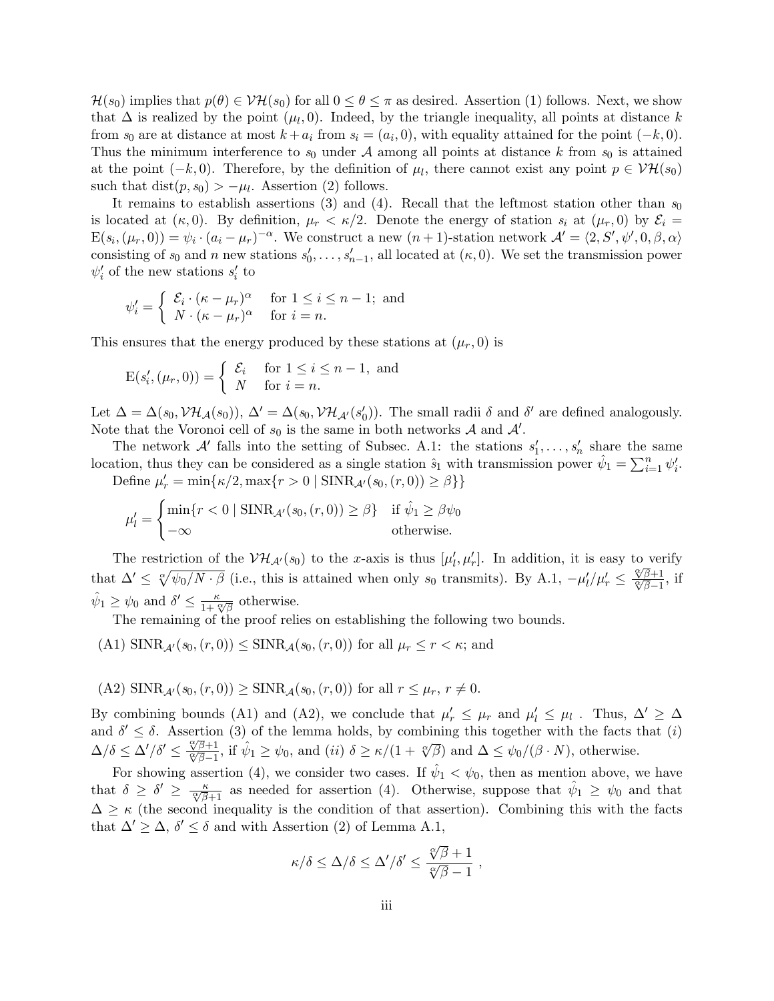$\mathcal{H}(s_0)$  implies that  $p(\theta) \in \mathcal{V}\mathcal{H}(s_0)$  for all  $0 \leq \theta \leq \pi$  as desired. Assertion (1) follows. Next, we show that  $\Delta$  is realized by the point  $(\mu_l, 0)$ . Indeed, by the triangle inequality, all points at distance k from  $s_0$  are at distance at most  $k + a_i$  from  $s_i = (a_i, 0)$ , with equality attained for the point  $(-k, 0)$ . Thus the minimum interference to  $s_0$  under A among all points at distance k from  $s_0$  is attained at the point  $(-k,0)$ . Therefore, by the definition of  $\mu_l$ , there cannot exist any point  $p \in \mathcal{VH}(s_0)$ such that  $dist(p, s_0) > -\mu_l$ . Assertion (2) follows.

It remains to establish assertions (3) and (4). Recall that the leftmost station other than  $s_0$ is located at  $(\kappa, 0)$ . By definition,  $\mu_r < \kappa/2$ . Denote the energy of station  $s_i$  at  $(\mu_r, 0)$  by  $\mathcal{E}_i =$  $E(s_i, (\mu_r, 0)) = \psi_i \cdot (a_i - \mu_r)^{-\alpha}$ . We construct a new  $(n + 1)$ -station network  $\mathcal{A}' = \langle 2, S', \psi', 0, \beta, \alpha \rangle$ consisting of  $s_0$  and n new stations  $s'_0, \ldots, s'_{n-1}$ , all located at  $(\kappa, 0)$ . We set the transmission power  $\psi'_i$  of the new stations  $s'_i$  to

$$
\psi_i' = \begin{cases} \mathcal{E}_i \cdot (\kappa - \mu_r)^\alpha & \text{for } 1 \le i \le n - 1; \text{ and} \\ N \cdot (\kappa - \mu_r)^\alpha & \text{for } i = n. \end{cases}
$$

This ensures that the energy produced by these stations at  $(\mu_r, 0)$  is

$$
E(s'_i, (\mu_r, 0)) = \begin{cases} \mathcal{E}_i & \text{for } 1 \le i \le n - 1, \text{ and} \\ N & \text{for } i = n. \end{cases}
$$

Let  $\Delta = \Delta(s_0, \mathcal{VH}_{\mathcal{A}}(s_0)), \Delta' = \Delta(s_0, \mathcal{VH}_{\mathcal{A}'}(s'_0)).$  The small radii  $\delta$  and  $\delta'$  are defined analogously. Note that the Voronoi cell of  $s_0$  is the same in both networks  $A$  and  $A'$ .

The network A' falls into the setting of Subsec. A.1: the stations  $s'_1, \ldots, s'_n$  share the same location, thus they can be considered as a single station  $\hat{s}_1$  with transmission power  $\hat{\psi}_1 = \sum_{i=1}^n \psi'_i$ . Define  $\mu'_{r} = \min\{\kappa/2, \max\{r > 0 \mid \text{SINR}_{\mathcal{A}'}(s_0, (r, 0)) \ge \beta\}\}\$ 

$$
\mu'_{l} = \begin{cases} \min\{r < 0 \mid \text{SINR}_{\mathcal{A}'}(s_0, (r, 0)) \ge \beta\} & \text{if } \hat{\psi}_1 \ge \beta \psi_0 \\ -\infty & \text{otherwise.} \end{cases}
$$

The restriction of the  $V\mathcal{H}_{\mathcal{A}'}(s_0)$  to the x-axis is thus  $[\mu'_l, \mu'_r]$ . In addition, it is easy to verify that  $\Delta' \leq \sqrt[\alpha]{\psi_0/N \cdot \beta}$  (i.e., this is attained when only s<sub>0</sub> transmits). By A.1,  $-\mu'_l/\mu'_r \leq$  $\frac{\sqrt[\alpha]{\beta}+1}{\sqrt[\alpha]{\beta}-1}$ , if  $\hat{\psi}_1 \geq \psi_0$  and  $\delta' \leq \frac{\kappa}{1+\sqrt[\alpha]{\beta}}$  otherwise.

The remaining of the proof relies on establishing the following two bounds.

- (A1)  $\text{SINR}_{\mathcal{A}'}(s_0,(r,0)) \leq \text{SINR}_{\mathcal{A}}(s_0,(r,0))$  for all  $\mu_r \leq r < \kappa$ ; and
- (A2)  $\text{SINR}_{A}(s_0, (r, 0)) \geq \text{SINR}_{A}(s_0, (r, 0))$  for all  $r \leq \mu_r$ ,  $r \neq 0$ .

By combining bounds (A1) and (A2), we conclude that  $\mu'_r \leq \mu_r$  and  $\mu'_l \leq \mu_l$ . Thus,  $\Delta' \geq \Delta$ and  $\delta' \leq \delta$ . Assertion (3) of the lemma holds, by combining this together with the facts that (i)  $\Delta/\delta \leq \Delta'/\delta' \leq \frac{\mathfrak{F}\overline{\beta}+1}{\mathfrak{F}\overline{\beta}-1}$ , if  $\hat{\psi}_1 \geq \psi_0$ , and  $(ii)$   $\delta \geq \kappa/(1+\mathfrak{F}\overline{\beta})$  and  $\Delta \leq \psi_0/(\beta \cdot N)$ , otherwise.

For showing assertion (4), we consider two cases. If  $\hat{\psi}_1 < \psi_0$ , then as mention above, we have that  $\delta \geq \delta' \geq \frac{\kappa}{\sqrt[\infty]{\beta+1}}$  as needed for assertion (4). Otherwise, suppose that  $\hat{\psi}_1 \geq \psi_0$  and that  $\Delta \geq \kappa$  (the second inequality is the condition of that assertion). Combining this with the facts that  $\Delta' \geq \Delta$ ,  $\delta' \leq \delta$  and with Assertion (2) of Lemma A.1,

$$
\kappa/\delta \le \Delta/\delta \le \Delta'/\delta' \le \frac{\sqrt[\alpha]{\beta}+1}{\sqrt[\alpha]{\beta}-1} ,
$$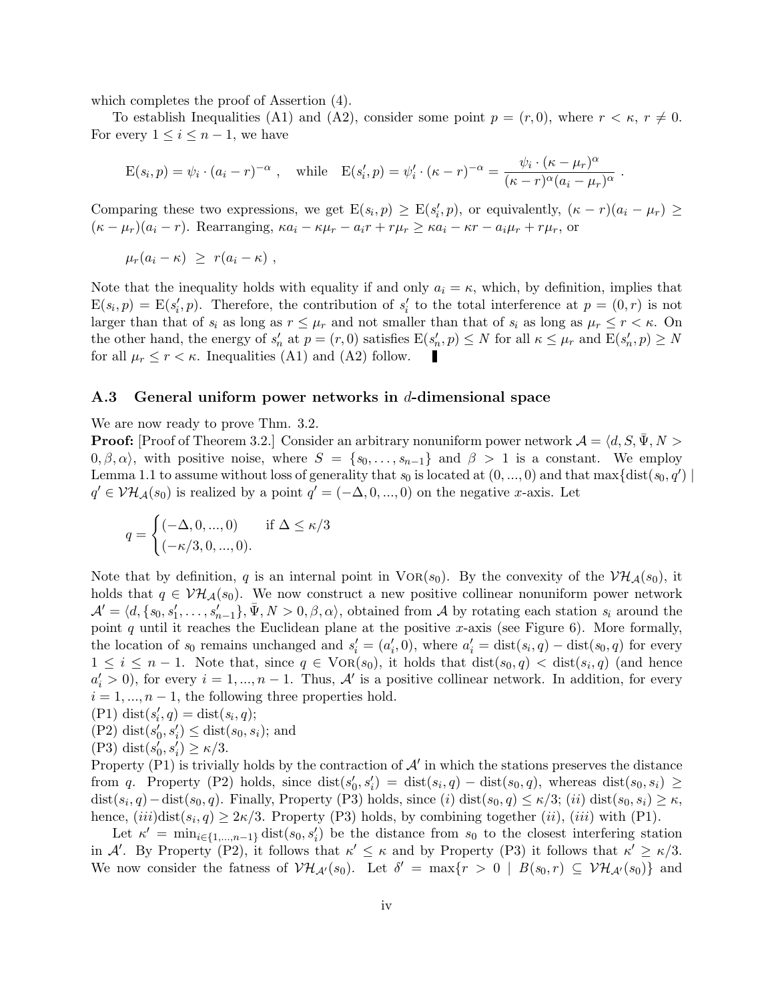which completes the proof of Assertion (4).

To establish Inequalities (A1) and (A2), consider some point  $p = (r, 0)$ , where  $r < \kappa$ ,  $r \neq 0$ . For every  $1 \leq i \leq n-1$ , we have

$$
E(s_i, p) = \psi_i \cdot (a_i - r)^{-\alpha} , \text{ while } E(s'_i, p) = \psi'_i \cdot (\kappa - r)^{-\alpha} = \frac{\psi_i \cdot (\kappa - \mu_r)^{\alpha}}{(\kappa - r)^{\alpha} (a_i - \mu_r)^{\alpha}} .
$$

Comparing these two expressions, we get  $E(s_i, p) \ge E(s'_i, p)$ , or equivalently,  $(\kappa - r)(a_i - \mu_r) \ge$  $(\kappa - \mu_r)(a_i - r)$ . Rearranging,  $\kappa a_i - \kappa \mu_r - a_i r + r \mu_r \geq \kappa a_i - \kappa r - a_i \mu_r + r \mu_r$ , or

 $\mu_r(a_i - \kappa) \geq r(a_i - \kappa)$ ,

Note that the inequality holds with equality if and only  $a_i = \kappa$ , which, by definition, implies that  $E(s_i, p) = E(s'_i, p)$ . Therefore, the contribution of  $s'_i$  to the total interference at  $p = (0, r)$  is not larger than that of  $s_i$  as long as  $r \leq \mu_r$  and not smaller than that of  $s_i$  as long as  $\mu_r \leq r < \kappa$ . On the other hand, the energy of  $s'_n$  at  $p = (r, 0)$  satisfies  $E(s'_n, p) \leq N$  for all  $\kappa \leq \mu_r$  and  $E(s'_n, p) \geq N$ for all  $\mu_r \leq r < \kappa$ . Inequalities (A1) and (A2) follow.

### A.3 General uniform power networks in d-dimensional space

We are now ready to prove Thm. 3.2.

**Proof:** [Proof of Theorem 3.2.] Consider an arbitrary nonuniform power network  $\mathcal{A} = \langle d, S, \Psi, N \rangle$  $(0, \beta, \alpha)$ , with positive noise, where  $S = \{s_0, \ldots, s_{n-1}\}\$  and  $\beta > 1$  is a constant. We employ Lemma 1.1 to assume without loss of generality that  $s_0$  is located at  $(0, ..., 0)$  and that max $\{dist(s_0, q')\}$  $q' \in V\mathcal{H}_{\mathcal{A}}(s_0)$  is realized by a point  $q' = (-\Delta, 0, ..., 0)$  on the negative x-axis. Let

$$
q = \begin{cases} (-\Delta, 0, ..., 0) & \text{if } \Delta \le \kappa/3 \\ (-\kappa/3, 0, ..., 0). \end{cases}
$$

Note that by definition, q is an internal point in  $VOR(s_0)$ . By the convexity of the  $VH_{\mathcal{A}}(s_0)$ , it holds that  $q \in \mathcal{VH}_{\mathcal{A}}(s_0)$ . We now construct a new positive collinear nonuniform power network  $\mathcal{A}' = \langle d, \{s_0, s'_1, \ldots, s'_{n-1}\}, \bar{\Psi}, N > 0, \beta, \alpha \rangle$ , obtained from A by rotating each station  $s_i$  around the point q until it reaches the Euclidean plane at the positive x-axis (see Figure 6). More formally, the location of  $s_0$  remains unchanged and  $s_i' = (a_i', 0)$ , where  $a_i' = \text{dist}(s_i, q) - \text{dist}(s_0, q)$  for every  $1 \leq i \leq n-1$ . Note that, since  $q \in \text{VOR}(s_0)$ , it holds that  $dist(s_0, q) < dist(s_i, q)$  (and hence  $a'_i > 0$ ), for every  $i = 1, ..., n - 1$ . Thus,  $\mathcal{A}'$  is a positive collinear network. In addition, for every  $i = 1, \ldots, n-1$ , the following three properties hold.

$$
(P1) dist(s'_{i}, q) = dist(s_{i}, q);
$$

- (P2) dist $(s'_0, s'_i) \leq$  dist $(s_0, s_i)$ ; and
- (P3) dist $(s'_0, s'_i) \geq \kappa/3$ .

Property (P1) is trivially holds by the contraction of  $\mathcal{A}'$  in which the stations preserves the distance from q. Property (P2) holds, since  $dist(s'_0, s'_i) = dist(s_i, q) - dist(s_0, q)$ , whereas  $dist(s_0, s_i) \ge$  $dist(s_i, q) - dist(s_0, q)$ . Finally, Property (P3) holds, since  $(i)$   $dist(s_0, q) \leq \kappa/3$ ;  $(ii)$   $dist(s_0, s_i) \geq \kappa$ , hence,  $(iii)$ dist $(s_i, q) \geq 2\kappa/3$ . Property (P3) holds, by combining together  $(ii)$ ,  $(iii)$  with (P1).

Let  $\kappa' = \min_{i \in \{1,\dots,n-1\}} \text{dist}(s_0, s_i')$  be the distance from  $s_0$  to the closest interfering station in A'. By Property (P2), it follows that  $\kappa' \leq \kappa$  and by Property (P3) it follows that  $\kappa' \geq \kappa/3$ . We now consider the fatness of  $V\mathcal{H}_{\mathcal{A}}(s_0)$ . Let  $\delta' = \max\{r > 0 \mid B(s_0, r) \subseteq V\mathcal{H}_{\mathcal{A}}(s_0)\}\$ and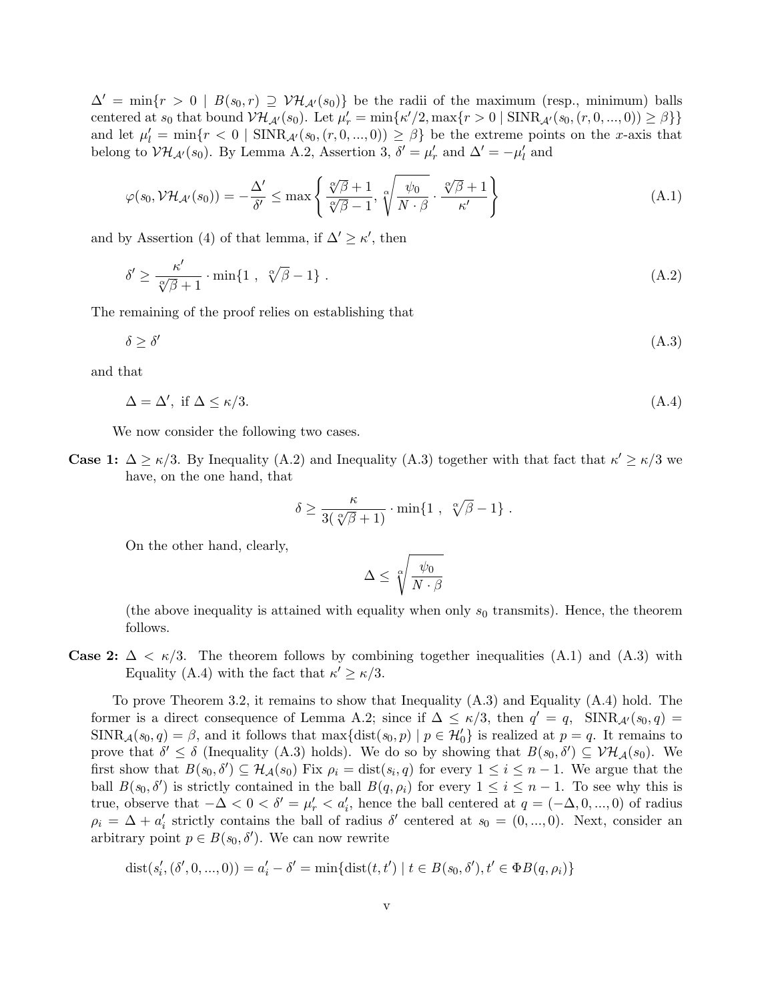$\Delta' = \min\{r > 0 \mid B(s_0, r) \supseteq \mathcal{VH}_{\mathcal{A}'}(s_0)\}\$ be the radii of the maximum (resp., minimum) balls centered at  $s_0$  that bound  $\mathcal{VH}_{\mathcal{A}'}(s_0)$ . Let  $\mu'_r = \min{\kappa'/2, \max\{r > 0 \mid \text{SINR}_{\mathcal{A}'}(s_0, (r, 0, ..., 0)) \ge \beta\}}$ and let  $\mu'_l = \min\{r < 0 \mid \text{SINR}_{\mathcal{A}'}(s_0,(r,0,...,0)) \geq \beta\}$  be the extreme points on the x-axis that belong to  $\mathcal{VH}_{\mathcal{A}}(s_0)$ . By Lemma A.2, Assertion 3,  $\delta' = \mu'_r$  and  $\Delta' = -\mu'_l$  and

$$
\varphi(s_0, \mathcal{VH}_{\mathcal{A}'}(s_0)) = -\frac{\Delta'}{\delta'} \le \max\left\{\frac{\sqrt[\alpha]{\beta} + 1}{\sqrt[\alpha]{\beta} - 1}, \sqrt[\alpha]{\frac{\psi_0}{N \cdot \beta}} \cdot \frac{\sqrt[\alpha]{\beta} + 1}{\kappa'}\right\} \tag{A.1}
$$

and by Assertion (4) of that lemma, if  $\Delta' \geq \kappa'$ , then

$$
\delta' \ge \frac{\kappa'}{\sqrt[\infty]{\beta} + 1} \cdot \min\{1 \ , \ \sqrt[\infty]{\beta} - 1\} \ . \tag{A.2}
$$

The remaining of the proof relies on establishing that

$$
\delta \ge \delta' \tag{A.3}
$$

and that

$$
\Delta = \Delta', \text{ if } \Delta \le \kappa/3. \tag{A.4}
$$

We now consider the following two cases.

**Case 1:**  $\Delta \ge \kappa/3$ . By Inequality (A.2) and Inequality (A.3) together with that fact that  $\kappa' \ge \kappa/3$  we have, on the one hand, that

$$
\delta \geq \frac{\kappa}{3(\sqrt[\alpha]{\beta}+1)} \cdot \min\{1\ ,\ \sqrt[\alpha]{\beta}-1\}\ .
$$

On the other hand, clearly,

$$
\Delta \leq \sqrt[\alpha]{\frac{\psi_0}{N\cdot \beta}}
$$

(the above inequality is attained with equality when only  $s_0$  transmits). Hence, the theorem follows.

**Case 2:**  $\Delta < \kappa/3$ . The theorem follows by combining together inequalities (A.1) and (A.3) with Equality (A.4) with the fact that  $\kappa' \geq \kappa/3$ .

To prove Theorem 3.2, it remains to show that Inequality (A.3) and Equality (A.4) hold. The former is a direct consequence of Lemma A.2; since if  $\Delta \leq \kappa/3$ , then  $q' = q$ ,  $\text{SINR}_{\mathcal{A}'}(s_0, q) =$  $SINR_{\mathcal{A}}(s_0, q) = \beta$ , and it follows that  $\max\{\text{dist}(s_0, p) \mid p \in \mathcal{H}'_0\}$  is realized at  $p = q$ . It remains to prove that  $\delta' \leq \delta$  (Inequality (A.3) holds). We do so by showing that  $B(s_0, \delta') \subseteq \mathcal{VH}_{\mathcal{A}}(s_0)$ . We first show that  $B(s_0, \delta') \subseteq \mathcal{H}_{\mathcal{A}}(s_0)$  Fix  $\rho_i = \text{dist}(s_i, q)$  for every  $1 \leq i \leq n-1$ . We argue that the ball  $B(s_0, \delta')$  is strictly contained in the ball  $B(q, \rho_i)$  for every  $1 \leq i \leq n-1$ . To see why this is true, observe that  $-\Delta < 0 < \delta' = \mu'_r < a'_i$ , hence the ball centered at  $q = (-\Delta, 0, ..., 0)$  of radius  $\rho_i = \Delta + a'_i$  strictly contains the ball of radius  $\delta'$  centered at  $s_0 = (0, ..., 0)$ . Next, consider an arbitrary point  $p \in B(s_0, \delta')$ . We can now rewrite

$$
dist(s'_i, (\delta', 0, ..., 0)) = a'_i - \delta' = \min\{dist(t, t') \mid t \in B(s_0, \delta'), t' \in \Phi B(q, \rho_i)\}\
$$